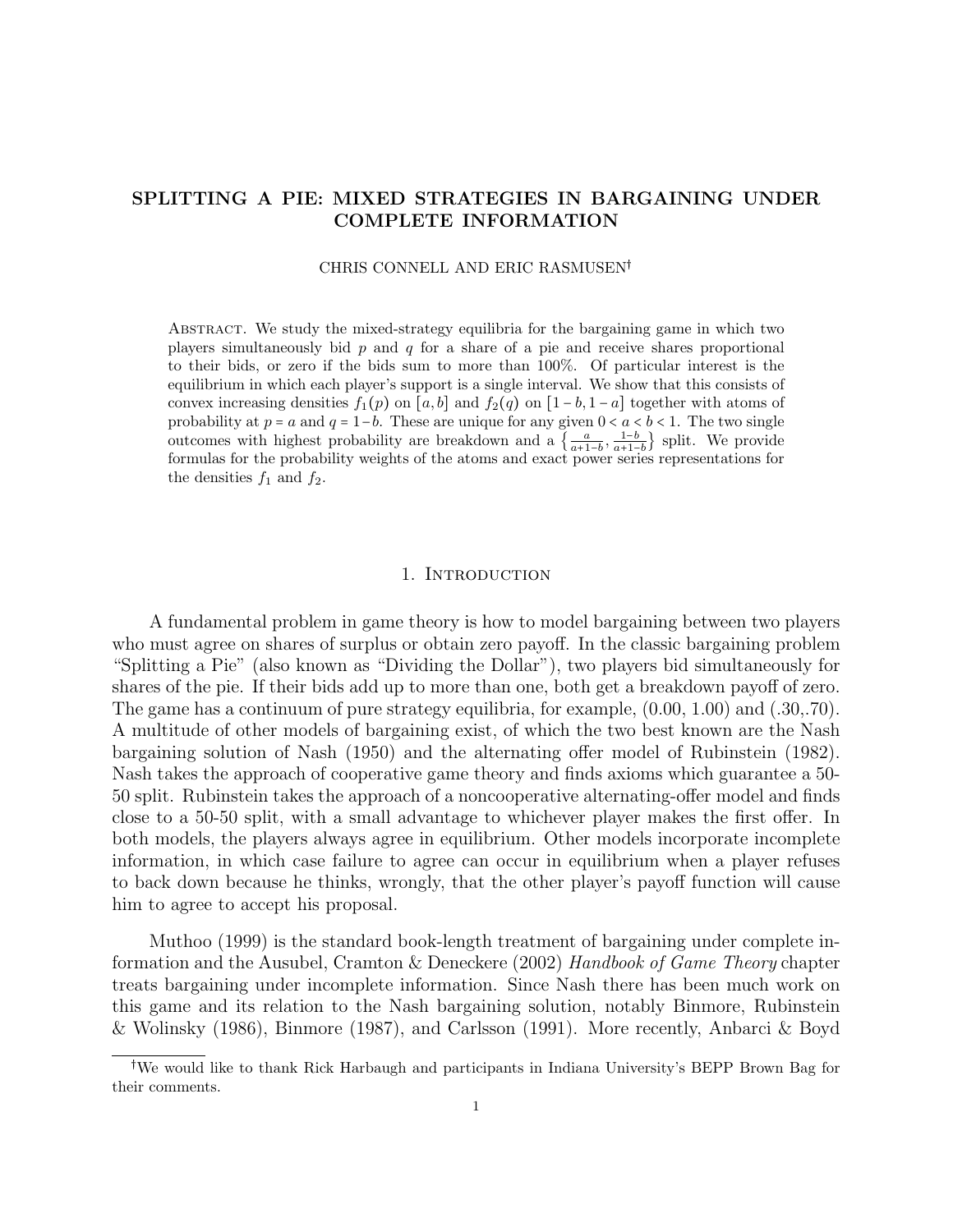# SPLITTING A PIE: MIXED STRATEGIES IN BARGAINING UNDER COMPLETE INFORMATION

### CHRIS CONNELL AND ERIC RASMUSEN

Abstract. We study the mixed-strategy equilibria for the bargaining game in which two players simultaneously bid  $p$  and  $q$  for a share of a pie and receive shares proportional to their bids, or zero if the bids sum to more than 100%. Of particular interest is the equilibrium in which each player's support is a single interval. We show that this consists of convex increasing densities  $f_1(p)$  on [a, b] and  $f_2(q)$  on [1 – b, 1 – a] together with atoms of probability at  $p = a$  and  $q = 1-b$ . These are unique for any given  $0 < a < b < 1$ . The two single outcomes with highest probability are breakdown and a  $\left\{\frac{a}{a+1-b}, \frac{1-b}{a+1-b}\right\}$  split. We provide formulas for the probability weights of the atoms and exact power series representations for the densities  $f_1$  and  $f_2$ .

### 1. Introduction

<span id="page-0-0"></span>A fundamental problem in game theory is how to model bargaining between two players who must agree on shares of surplus or obtain zero payoff. In the classic bargaining problem "Splitting a Pie" (also known as "Dividing the Dollar"), two players bid simultaneously for shares of the pie. If their bids add up to more than one, both get a breakdown payoff of zero. The game has a continuum of pure strategy equilibria, for example, (0.00, 1.00) and (.30,.70). A multitude of other models of bargaining exist, of which the two best known are the Nash bargaining solution of Nash (1950) and the alternating offer model of Rubinstein (1982). Nash takes the approach of cooperative game theory and finds axioms which guarantee a 50- 50 split. Rubinstein takes the approach of a noncooperative alternating-offer model and finds close to a 50-50 split, with a small advantage to whichever player makes the first offer. In both models, the players always agree in equilibrium. Other models incorporate incomplete information, in which case failure to agree can occur in equilibrium when a player refuses to back down because he thinks, wrongly, that the other player's payoff function will cause him to agree to accept his proposal.

Muthoo (1999) is the standard book-length treatment of bargaining under complete information and the Ausubel, Cramton & Deneckere (2002) Handbook of Game Theory chapter treats bargaining under incomplete information. Since Nash there has been much work on this game and its relation to the Nash bargaining solution, notably Binmore, Rubinstein & Wolinsky (1986), Binmore (1987), and Carlsson (1991). More recently, Anbarci & Boyd

We would like to thank Rick Harbaugh and participants in Indiana University's BEPP Brown Bag for their comments.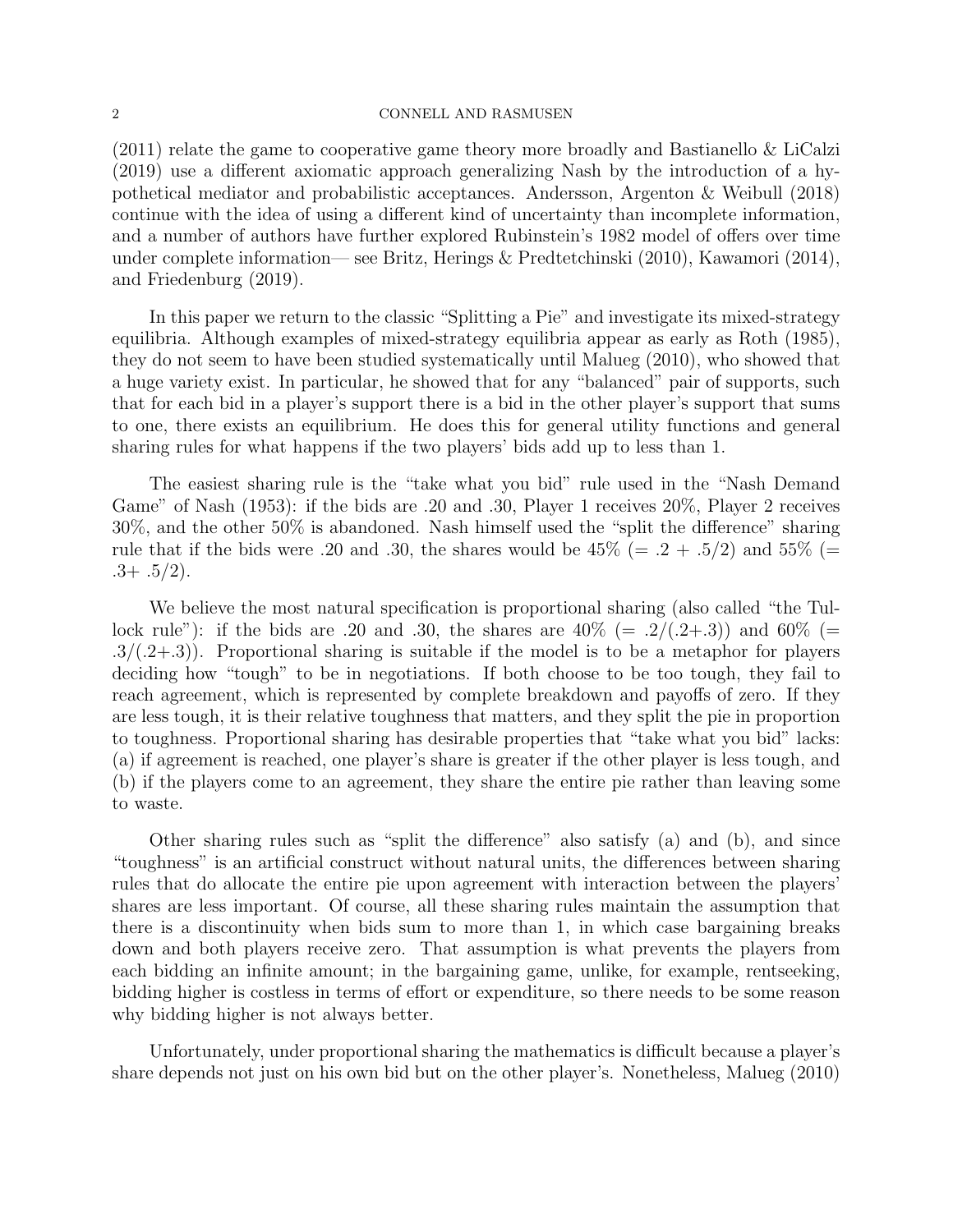(2011) relate the game to cooperative game theory more broadly and Bastianello & LiCalzi (2019) use a different axiomatic approach generalizing Nash by the introduction of a hypothetical mediator and probabilistic acceptances. Andersson, Argenton & Weibull (2018) continue with the idea of using a different kind of uncertainty than incomplete information, and a number of authors have further explored Rubinstein's 1982 model of offers over time under complete information— see Britz, Herings & Predtetchinski (2010), Kawamori (2014), and Friedenburg (2019).

In this paper we return to the classic "Splitting a Pie" and investigate its mixed-strategy equilibria. Although examples of mixed-strategy equilibria appear as early as Roth (1985), they do not seem to have been studied systematically until Malueg (2010), who showed that a huge variety exist. In particular, he showed that for any "balanced" pair of supports, such that for each bid in a player's support there is a bid in the other player's support that sums to one, there exists an equilibrium. He does this for general utility functions and general sharing rules for what happens if the two players' bids add up to less than 1.

The easiest sharing rule is the "take what you bid" rule used in the "Nash Demand Game" of Nash (1953): if the bids are .20 and .30, Player 1 receives 20%, Player 2 receives 30%, and the other 50% is abandoned. Nash himself used the "split the difference" sharing rule that if the bids were .20 and .30, the shares would be  $45\%$  (= .2 + .5/2) and  $55\%$  (=  $.3+ .5/2$ ).

We believe the most natural specification is proportional sharing (also called "the Tullock rule"): if the bids are .20 and .30, the shares are  $40\%$  (= .2/(.2+.3)) and 60% (=  $.3/(.2+.3)$ . Proportional sharing is suitable if the model is to be a metaphor for players deciding how "tough" to be in negotiations. If both choose to be too tough, they fail to reach agreement, which is represented by complete breakdown and payoffs of zero. If they are less tough, it is their relative toughness that matters, and they split the pie in proportion to toughness. Proportional sharing has desirable properties that "take what you bid" lacks: (a) if agreement is reached, one player's share is greater if the other player is less tough, and (b) if the players come to an agreement, they share the entire pie rather than leaving some to waste.

Other sharing rules such as "split the difference" also satisfy (a) and (b), and since "toughness" is an artificial construct without natural units, the differences between sharing rules that do allocate the entire pie upon agreement with interaction between the players' shares are less important. Of course, all these sharing rules maintain the assumption that there is a discontinuity when bids sum to more than 1, in which case bargaining breaks down and both players receive zero. That assumption is what prevents the players from each bidding an infinite amount; in the bargaining game, unlike, for example, rentseeking, bidding higher is costless in terms of effort or expenditure, so there needs to be some reason why bidding higher is not always better.

Unfortunately, under proportional sharing the mathematics is difficult because a player's share depends not just on his own bid but on the other player's. Nonetheless, Malueg (2010)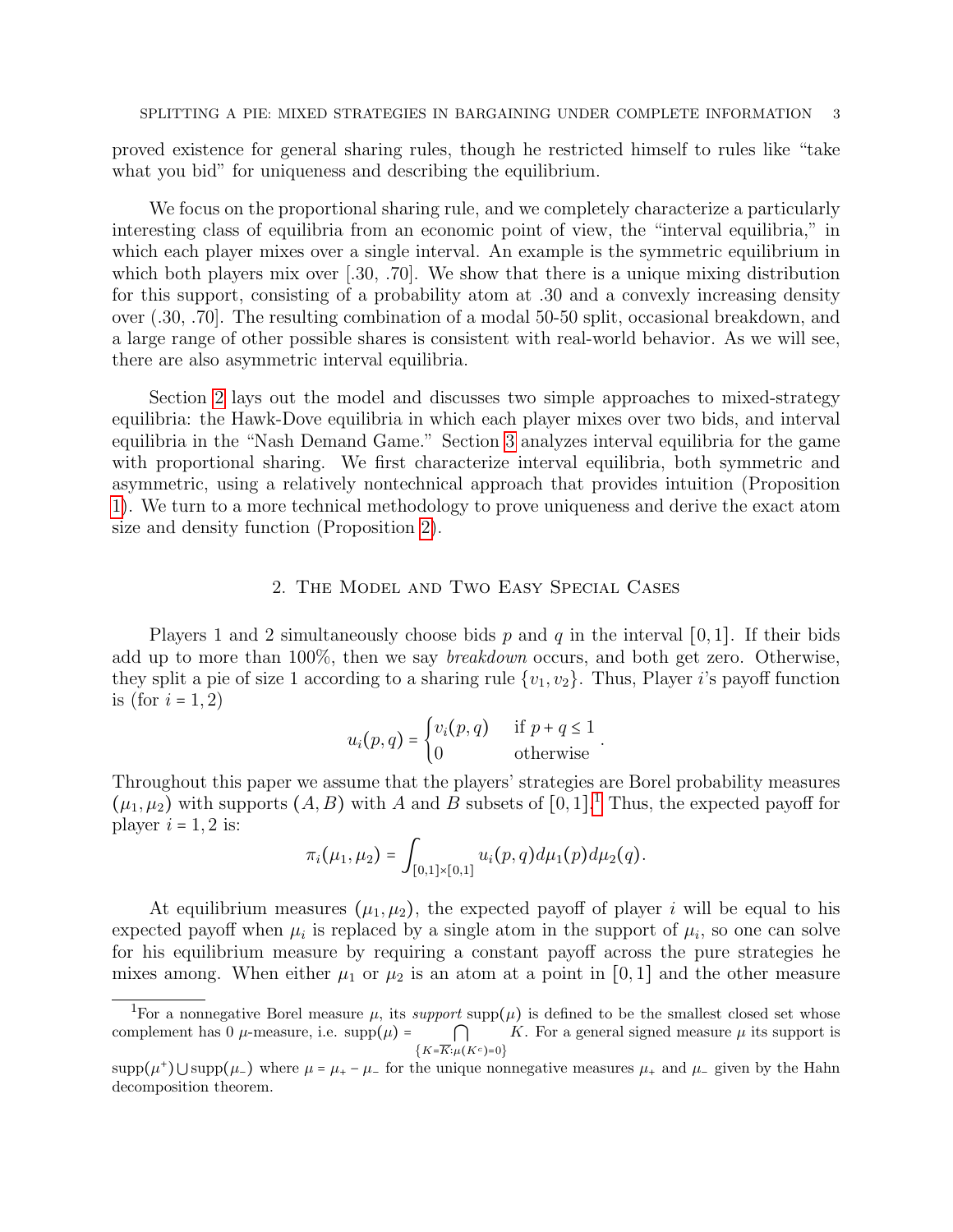proved existence for general sharing rules, though he restricted himself to rules like "take what you bid" for uniqueness and describing the equilibrium.

We focus on the proportional sharing rule, and we completely characterize a particularly interesting class of equilibria from an economic point of view, the "interval equilibria," in which each player mixes over a single interval. An example is the symmetric equilibrium in which both players mix over  $[0.30, 0.70]$ . We show that there is a unique mixing distribution for this support, consisting of a probability atom at .30 and a convexly increasing density over (.30, .70]. The resulting combination of a modal 50-50 split, occasional breakdown, and a large range of other possible shares is consistent with real-world behavior. As we will see, there are also asymmetric interval equilibria.

Section [2](#page-2-0) lays out the model and discusses two simple approaches to mixed-strategy equilibria: the Hawk-Dove equilibria in which each player mixes over two bids, and interval equilibria in the "Nash Demand Game." Section [3](#page-6-0) analyzes interval equilibria for the game with proportional sharing. We first characterize interval equilibria, both symmetric and asymmetric, using a relatively nontechnical approach that provides intuition (Proposition [1\)](#page-6-1). We turn to a more technical methodology to prove uniqueness and derive the exact atom size and density function (Proposition [2\)](#page-12-0).

## 2. The Model and Two Easy Special Cases

<span id="page-2-0"></span>Players 1 and 2 simultaneously choose bids p and q in the interval [0, 1]. If their bids add up to more than 100%, then we say breakdown occurs, and both get zero. Otherwise, they split a pie of size 1 according to a sharing rule  $\{v_1, v_2\}$ . Thus, Player i's payoff function is (for  $i = 1, 2$ )

$$
u_i(p,q) = \begin{cases} v_i(p,q) & \text{if } p+q \leq 1 \\ 0 & \text{otherwise} \end{cases}.
$$

Throughout this paper we assume that the players' strategies are Borel probability measures  $(\mu_1, \mu_2)$  $(\mu_1, \mu_2)$  $(\mu_1, \mu_2)$  with supports  $(A, B)$  with A and B subsets of  $[0, 1]$ .<sup>1</sup> Thus, the expected payoff for player  $i = 1, 2$  is:

$$
\pi_i(\mu_1,\mu_2)=\int_{[0,1]\times[0,1]} u_i(p,q) d\mu_1(p) d\mu_2(q).
$$

At equilibrium measures  $(\mu_1, \mu_2)$ , the expected payoff of player i will be equal to his expected payoff when  $\mu_i$  is replaced by a single atom in the support of  $\mu_i$ , so one can solve for his equilibrium measure by requiring a constant payoff across the pure strategies he mixes among. When either  $\mu_1$  or  $\mu_2$  is an atom at a point in [0, 1] and the other measure

<span id="page-2-1"></span><sup>&</sup>lt;sup>1</sup>For a nonnegative Borel measure  $\mu$ , its support supp( $\mu$ ) is defined to be the smallest closed set whose complement has 0  $\mu$ -measure, i.e. supp $(\mu)$  =  $\bigcap$  $\{K=\overline{K}:\mu(K^c)=0\}$ K. For a general signed measure  $\mu$  its support is

 $\text{supp}(\mu^+)$  Usupp $(\mu_-)$  where  $\mu = \mu_+ - \mu_-$  for the unique nonnegative measures  $\mu_+$  and  $\mu_-$  given by the Hahn decomposition theorem.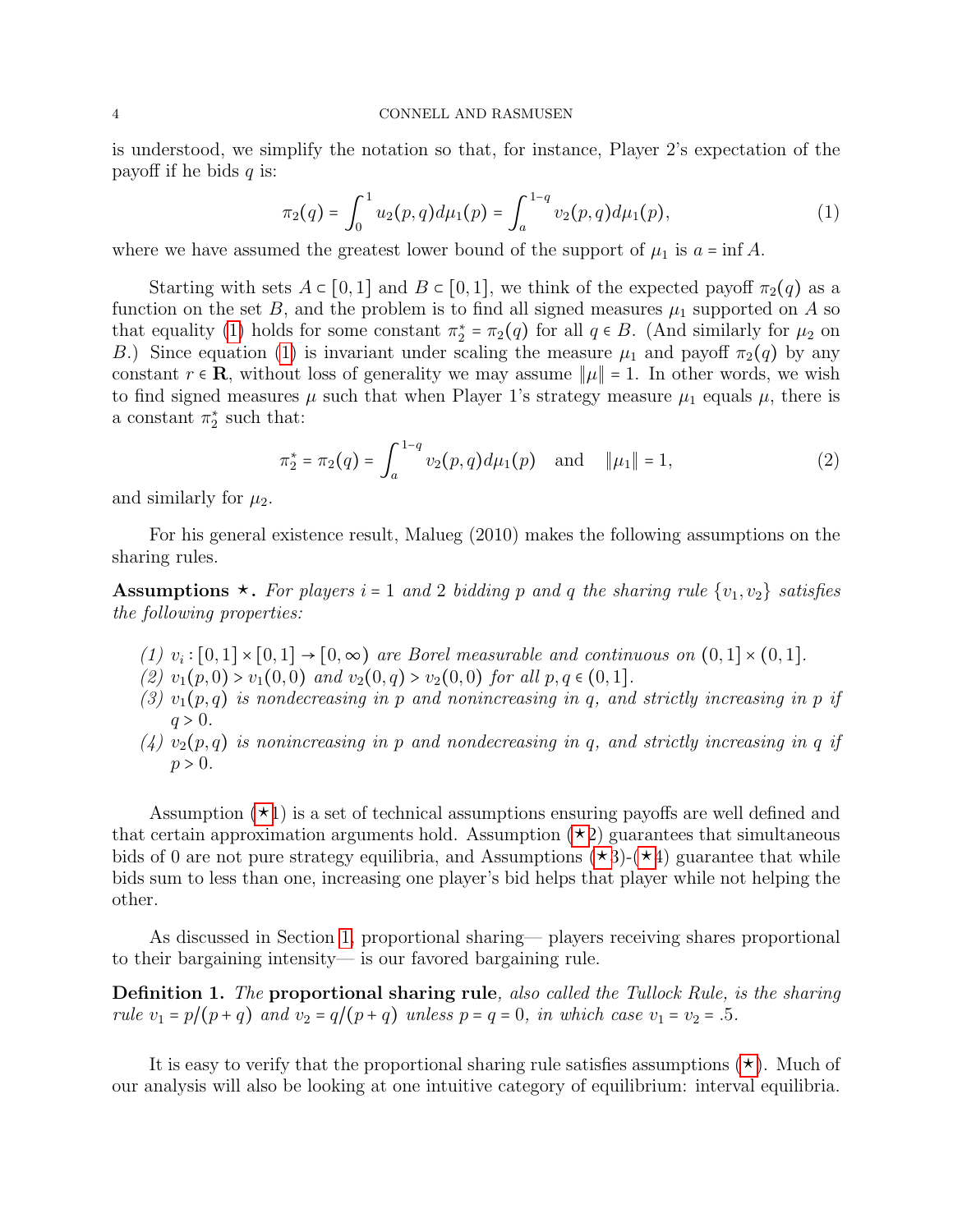is understood, we simplify the notation so that, for instance, Player 2's expectation of the payoff if he bids  $q$  is:

<span id="page-3-0"></span>
$$
\pi_2(q) = \int_0^1 u_2(p,q) d\mu_1(p) = \int_a^{1-q} v_2(p,q) d\mu_1(p), \tag{1}
$$

where we have assumed the greatest lower bound of the support of  $\mu_1$  is  $a = \inf A$ .

Starting with sets  $A \subset [0,1]$  and  $B \subset [0,1]$ , we think of the expected payoff  $\pi_2(q)$  as a function on the set B, and the problem is to find all signed measures  $\mu_1$  supported on A so that equality [\(1\)](#page-3-0) holds for some constant  $\pi_2^* = \pi_2(q)$  for all  $q \in B$ . (And similarly for  $\mu_2$  on B.) Since equation [\(1\)](#page-3-0) is invariant under scaling the measure  $\mu_1$  and payoff  $\pi_2(q)$  by any constant  $r \in \mathbf{R}$ , without loss of generality we may assume  $\|\mu\| = 1$ . In other words, we wish to find signed measures  $\mu$  such that when Player 1's strategy measure  $\mu_1$  equals  $\mu$ , there is a constant  $\pi_2^*$  such that:

$$
\pi_2^* = \pi_2(q) = \int_a^{1-q} v_2(p,q) d\mu_1(p) \quad \text{and} \quad \|\mu_1\| = 1,
$$
 (2)

and similarly for  $\mu_2$ .

For his general existence result, Malueg (2010) makes the following assumptions on the sharing rules.

<span id="page-3-1"></span>**Assumptions**  $\star$ **.** For players i = 1 and 2 bidding p and q the sharing rule  $\{v_1, v_2\}$  satisfies the following properties:

- (1)  $v_i : [0,1] \times [0,1] \rightarrow [0,\infty)$  are Borel measurable and continuous on  $(0,1] \times (0,1]$ .
- (2)  $v_1(p, 0) > v_1(0, 0)$  and  $v_2(0, q) > v_2(0, 0)$  for all  $p, q \in (0, 1]$ .
- (3)  $v_1(p,q)$  is nondecreasing in p and nonincreasing in q, and strictly increasing in p if  $q > 0$ .
- $(4)$   $v_2(p,q)$  is nonincreasing in p and nondecreasing in q, and strictly increasing in q if  $p > 0$ .

Assumption  $(\star 1)$  is a set of technical assumptions ensuring payoffs are well defined and that certain approximation arguments hold. Assumption  $(\star 2)$  guarantees that simultaneous bids of 0 are not pure strategy equilibria, and Assumptions  $(\star 3)$ - $(\star 4)$  guarantee that while bids sum to less than one, increasing one player's bid helps that player while not helping the other.

As discussed in Section [1,](#page-0-0) proportional sharing— players receiving shares proportional to their bargaining intensity— is our favored bargaining rule.

Definition 1. The proportional sharing rule, also called the Tullock Rule, is the sharing rule  $v_1 = p/(p+q)$  and  $v_2 = q/(p+q)$  unless  $p = q = 0$ , in which case  $v_1 = v_2 = .5$ .

It is easy to verify that the proportional sharing rule satisfies assumptions  $(\star)$ . Much of our analysis will also be looking at one intuitive category of equilibrium: interval equilibria.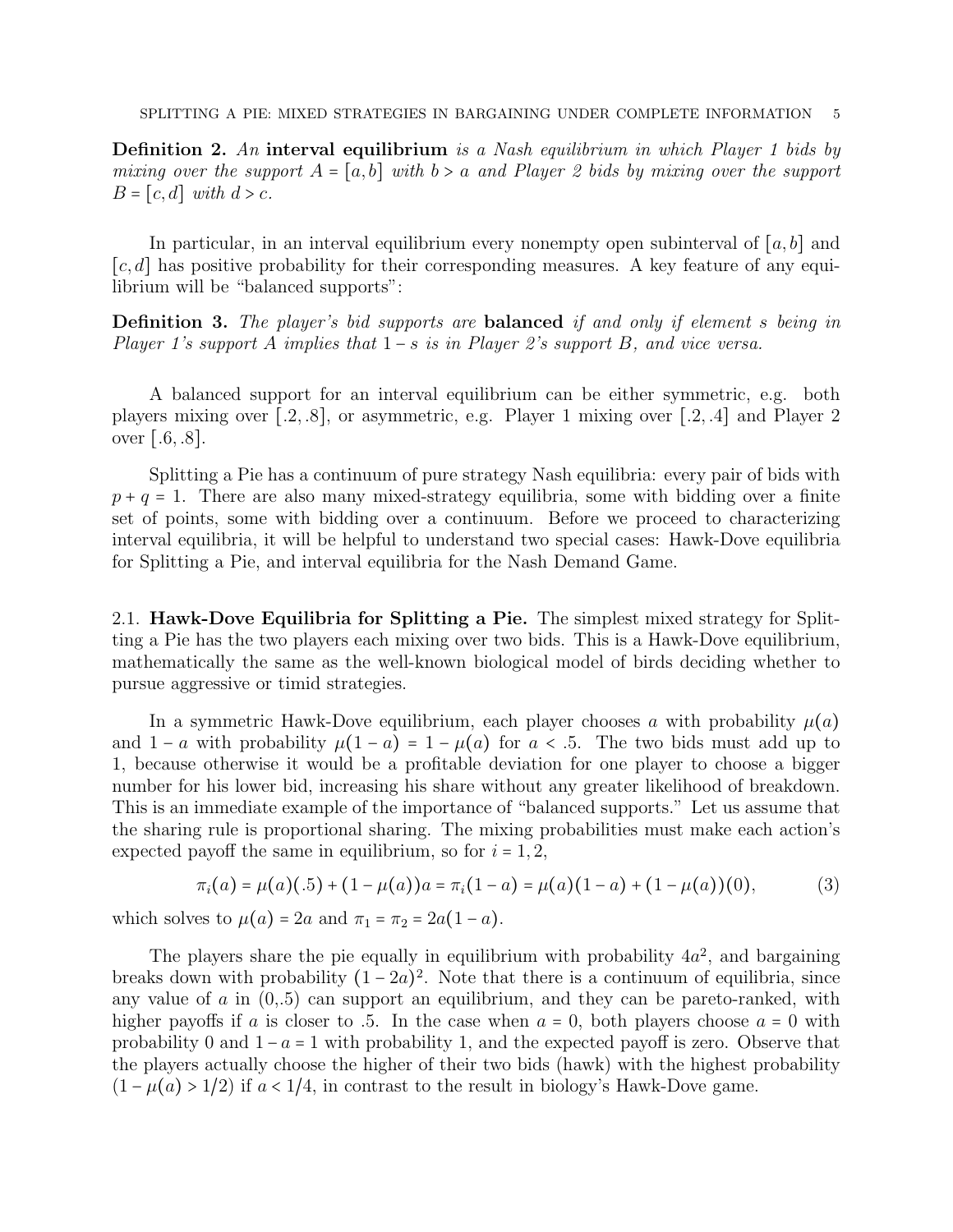Definition 2. An interval equilibrium is a Nash equilibrium in which Player 1 bids by mixing over the support  $A = [a, b]$  with  $b > a$  and Player 2 bids by mixing over the support  $B = [c, d]$  with  $d > c$ .

In particular, in an interval equilibrium every nonempty open subinterval of  $[a, b]$  and  $[c, d]$  has positive probability for their corresponding measures. A key feature of any equilibrium will be "balanced supports":

Definition 3. The player's bid supports are balanced if and only if element s being in Player 1's support A implies that  $1-s$  is in Player 2's support B, and vice versa.

A balanced support for an interval equilibrium can be either symmetric, e.g. both players mixing over [.2, .8], or asymmetric, e.g. Player 1 mixing over [.2, .4] and Player 2 over [.6, .8].

Splitting a Pie has a continuum of pure strategy Nash equilibria: every pair of bids with  $p + q = 1$ . There are also many mixed-strategy equilibria, some with bidding over a finite set of points, some with bidding over a continuum. Before we proceed to characterizing interval equilibria, it will be helpful to understand two special cases: Hawk-Dove equilibria for Splitting a Pie, and interval equilibria for the Nash Demand Game.

2.1. Hawk-Dove Equilibria for Splitting a Pie. The simplest mixed strategy for Splitting a Pie has the two players each mixing over two bids. This is a Hawk-Dove equilibrium, mathematically the same as the well-known biological model of birds deciding whether to pursue aggressive or timid strategies.

In a symmetric Hawk-Dove equilibrium, each player chooses a with probability  $\mu(a)$ and  $1 - a$  with probability  $\mu(1 - a) = 1 - \mu(a)$  for  $a < .5$ . The two bids must add up to 1, because otherwise it would be a profitable deviation for one player to choose a bigger number for his lower bid, increasing his share without any greater likelihood of breakdown. This is an immediate example of the importance of "balanced supports." Let us assume that the sharing rule is proportional sharing. The mixing probabilities must make each action's expected payoff the same in equilibrium, so for  $i = 1, 2$ ,

$$
\pi_i(a) = \mu(a)(.5) + (1 - \mu(a))a = \pi_i(1 - a) = \mu(a)(1 - a) + (1 - \mu(a))(0),
$$
 (3)

which solves to  $\mu(a) = 2a$  and  $\pi_1 = \pi_2 = 2a(1-a)$ .

The players share the pie equally in equilibrium with probability  $4a^2$ , and bargaining breaks down with probability  $(1-2a)^2$ . Note that there is a continuum of equilibria, since any value of  $a$  in  $(0,5)$  can support an equilibrium, and they can be pareto-ranked, with higher payoffs if a is closer to .5. In the case when  $a = 0$ , both players choose  $a = 0$  with probability 0 and  $1 - a = 1$  with probability 1, and the expected payoff is zero. Observe that the players actually choose the higher of their two bids (hawk) with the highest probability  $(1 - \mu(a) > 1/2)$  if  $a < 1/4$ , in contrast to the result in biology's Hawk-Dove game.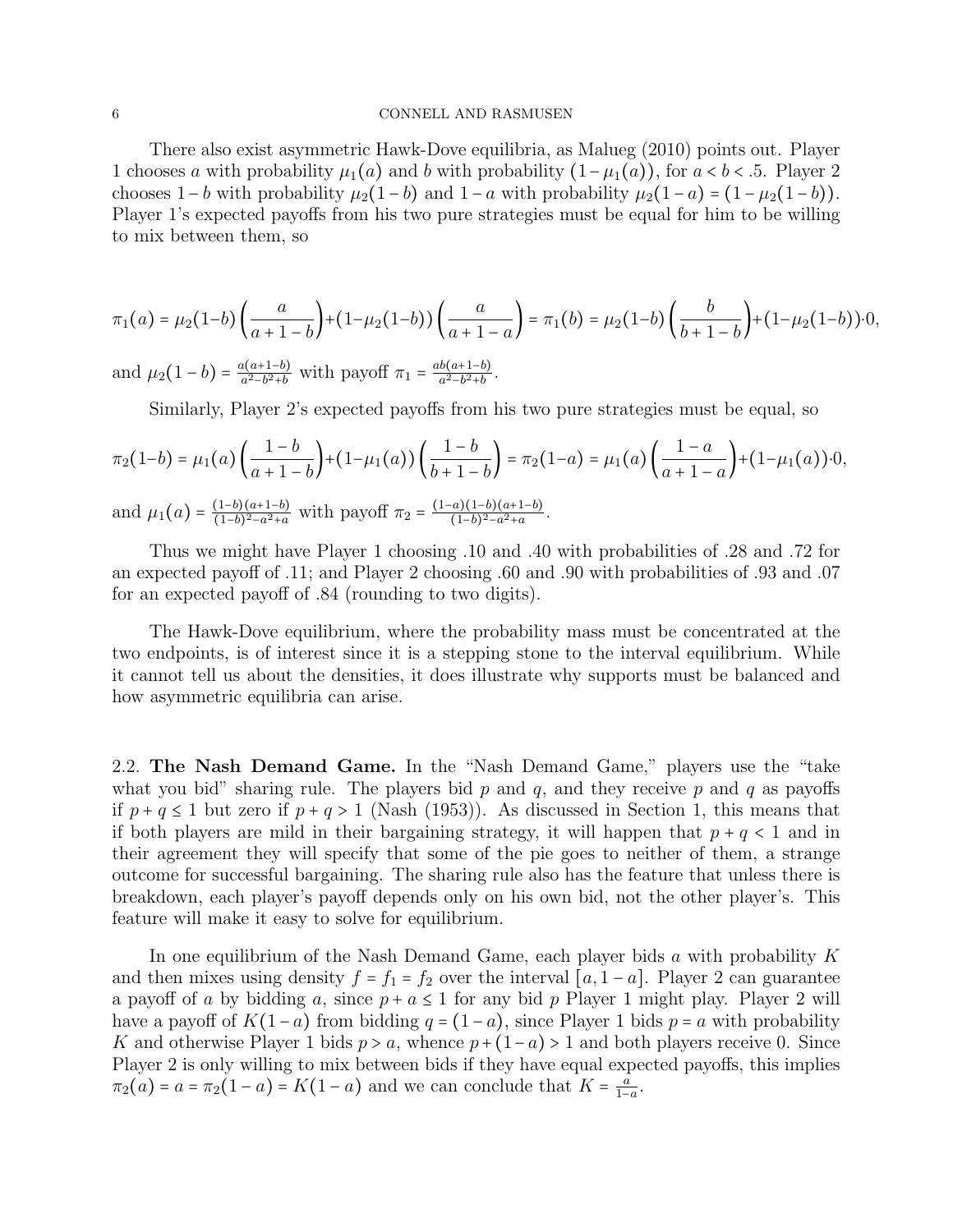There also exist asymmetric Hawk-Dove equilibria, as Malueg (2010) points out. Player 1 chooses a with probability  $\mu_1(a)$  and b with probability  $(1-\mu_1(a))$ , for  $a < b < .5$ . Player 2 chooses  $1-b$  with probability  $\mu_2(1-b)$  and  $1-a$  with probability  $\mu_2(1-a) = (1-\mu_2(1-b))$ . Player 1's expected payoffs from his two pure strategies must be equal for him to be willing to mix between them, so

$$
\pi_1(a) = \mu_2(1-b) \left( \frac{a}{a+1-b} \right) + (1-\mu_2(1-b)) \left( \frac{a}{a+1-a} \right) = \pi_1(b) = \mu_2(1-b) \left( \frac{b}{b+1-b} \right) + (1-\mu_2(1-b)) \cdot 0,
$$

and  $\mu_2(1-b) = \frac{a(a+1-b)}{a^2-b^2+b}$  $\frac{a(a+1-b)}{a^2-b^2+b}$  with payoff  $\pi_1 = \frac{ab(a+1-b)}{a^2-b^2+b}$  $\frac{b(a+1-b)}{a^2-b^2+b}$ .

Similarly, Player 2's expected payoffs from his two pure strategies must be equal, so

$$
\pi_2(1-b) = \mu_1(a) \left( \frac{1-b}{a+1-b} \right) + (1-\mu_1(a)) \left( \frac{1-b}{b+1-b} \right) = \pi_2(1-a) = \mu_1(a) \left( \frac{1-a}{a+1-a} \right) + (1-\mu_1(a)) \cdot 0,
$$
  
and  $\mu_1(a) = \frac{(1-b)(a+1-b)}{(1-b)^2 - a^2 + a}$  with payoff  $\pi_2 = \frac{(1-a)(1-b)(a+1-b)}{(1-b)^2 - a^2 + a}$ .

Thus we might have Player 1 choosing .10 and .40 with probabilities of .28 and .72 for an expected payoff of .11; and Player 2 choosing .60 and .90 with probabilities of .93 and .07 for an expected payoff of .84 (rounding to two digits).

The Hawk-Dove equilibrium, where the probability mass must be concentrated at the two endpoints, is of interest since it is a stepping stone to the interval equilibrium. While it cannot tell us about the densities, it does illustrate why supports must be balanced and how asymmetric equilibria can arise.

2.2. The Nash Demand Game. In the "Nash Demand Game," players use the "take what you bid" sharing rule. The players bid p and q, and they receive p and q as payoffs if  $p + q \le 1$  but zero if  $p + q > 1$  (Nash (1953)). As discussed in Section 1, this means that if both players are mild in their bargaining strategy, it will happen that  $p + q < 1$  and in their agreement they will specify that some of the pie goes to neither of them, a strange outcome for successful bargaining. The sharing rule also has the feature that unless there is breakdown, each player's payoff depends only on his own bid, not the other player's. This feature will make it easy to solve for equilibrium.

In one equilibrium of the Nash Demand Game, each player bids a with probability K and then mixes using density  $f = f_1 = f_2$  over the interval  $[a, 1 - a]$ . Player 2 can guarantee a payoff of a by bidding a, since  $p + a \le 1$  for any bid p Player 1 might play. Player 2 will have a payoff of  $K(1-a)$  from bidding  $q = (1-a)$ , since Player 1 bids  $p = a$  with probability K and otherwise Player 1 bids  $p > a$ , whence  $p + (1-a) > 1$  and both players receive 0. Since Player 2 is only willing to mix between bids if they have equal expected payoffs, this implies  $\pi_2(a) = a = \pi_2(1-a) = K(1-a)$  and we can conclude that  $K = \frac{a}{1-a}$  $\frac{a}{1-a}$ .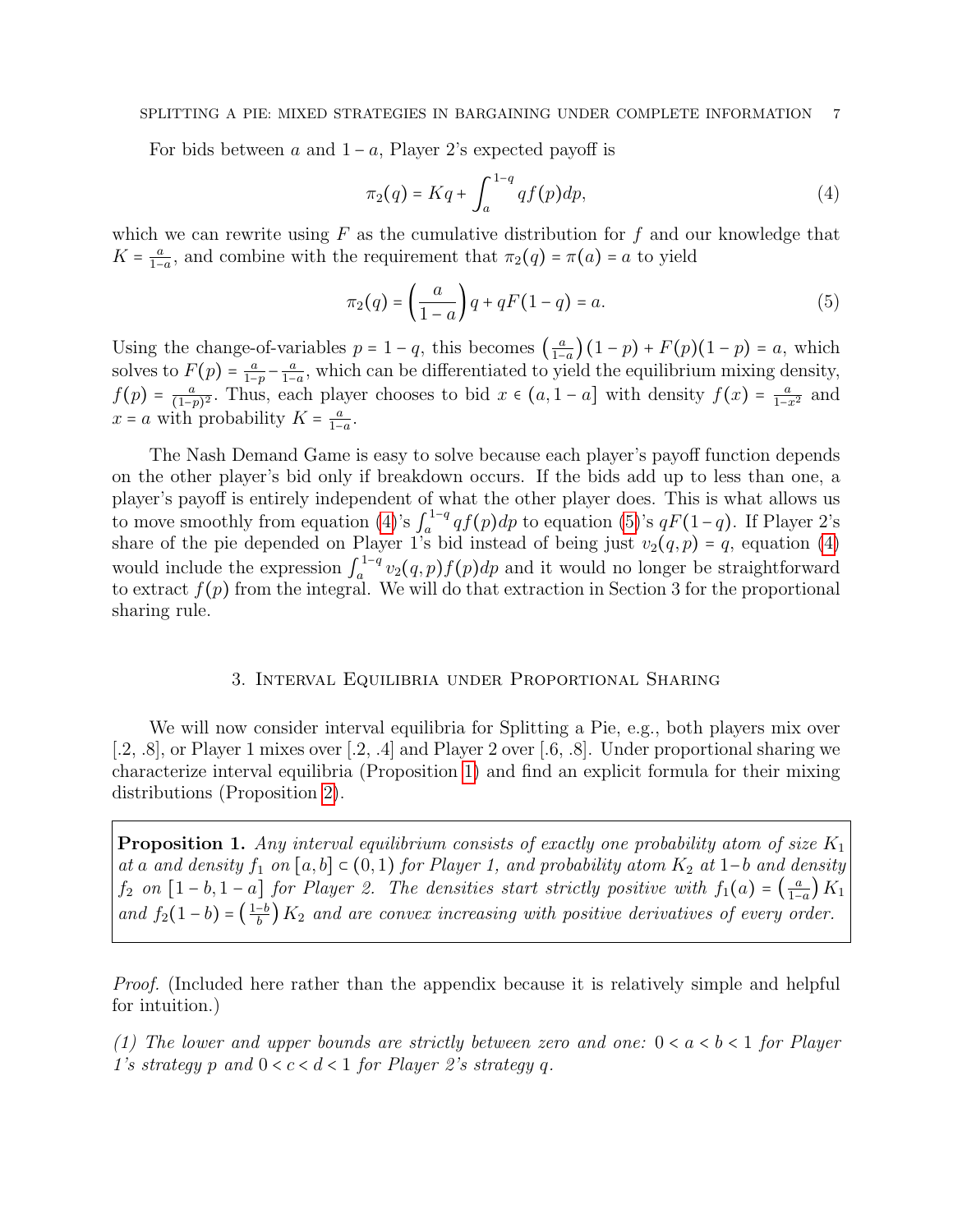### SPLITTING A PIE: MIXED STRATEGIES IN BARGAINING UNDER COMPLETE INFORMATION 7

For bids between a and  $1 - a$ , Player 2's expected payoff is

<span id="page-6-2"></span>
$$
\pi_2(q) = Kq + \int_a^{1-q} q f(p) dp,\tag{4}
$$

which we can rewrite using  $F$  as the cumulative distribution for  $f$  and our knowledge that  $K=\frac{a}{1-a}$  $\frac{a}{1-a}$ , and combine with the requirement that  $\pi_2(q) = \pi(a) = a$  to yield

<span id="page-6-3"></span>
$$
\pi_2(q) = \left(\frac{a}{1-a}\right)q + qF(1-q) = a.\tag{5}
$$

Using the change-of-variables  $p = 1 - q$ , this becomes  $\left(\frac{a}{1 - q}\right)$  $\frac{a}{1-a}$   $(1-p) + F(p)(1-p) = a$ , which solves to  $F(p) = \frac{a}{1-p}$  $\frac{a}{1-p} - \frac{a}{1-p}$  $\frac{a}{1-a}$ , which can be differentiated to yield the equilibrium mixing density,  $f(p) = \frac{a}{(1-a)}$  $\frac{a}{(1-p)^2}$ . Thus, each player chooses to bid  $x \in (a, 1-a]$  with density  $f(x) = \frac{a}{1-x^2}$  and  $x = a$  with probability  $K = \frac{a}{1-a}$  $\frac{a}{1-a}$ .

The Nash Demand Game is easy to solve because each player's payoff function depends on the other player's bid only if breakdown occurs. If the bids add up to less than one, a player's payoff is entirely independent of what the other player does. This is what allows us to move smoothly from equation [\(4\)](#page-6-2)'s  $\int_{a}^{1-q}$  $a_a^{1-q}$  qf(p)dp to equation [\(5\)](#page-6-3)'s  $qF(1-q)$ . If Player 2's share of the pie depended on Player 1's bid instead of being just  $v_2(q, p) = q$ , equation [\(4\)](#page-6-2) would include the expression  $\int_a^{1-q}$  $\int_a^{1-q} v_2(q, p) f(p) dp$  and it would no longer be straightforward to extract  $f(p)$  from the integral. We will do that extraction in Section 3 for the proportional sharing rule.

# 3. Interval Equilibria under Proportional Sharing

<span id="page-6-0"></span>We will now consider interval equilibria for Splitting a Pie, e.g., both players mix over [.2, .8], or Player 1 mixes over [.2, .4] and Player 2 over [.6, .8]. Under proportional sharing we characterize interval equilibria (Proposition [1\)](#page-6-1) and find an explicit formula for their mixing distributions (Proposition [2\)](#page-12-0).

<span id="page-6-1"></span>**Proposition 1.** Any interval equilibrium consists of exactly one probability atom of size  $K_1$ at a and density  $f_1$  on  $[a, b] \subset (0, 1)$  for Player 1, and probability atom  $K_2$  at 1-b and density  $f_2$  on  $[1-b,1-a]$  for Player 2. The densities start strictly positive with  $f_1(a) = \left(\frac{a}{1-a}\right)^2$  $\frac{a}{1-a}$ )  $K_1$ and  $f_2(1-b) = \left(\frac{1-b}{b}\right) K_2$  and are convex increasing with positive derivatives of every order.

Proof. (Included here rather than the appendix because it is relatively simple and helpful for intuition.)

(1) The lower and upper bounds are strictly between zero and one:  $0 < a < b < 1$  for Player 1's strategy p and  $0 < c < d < 1$  for Player 2's strategy q.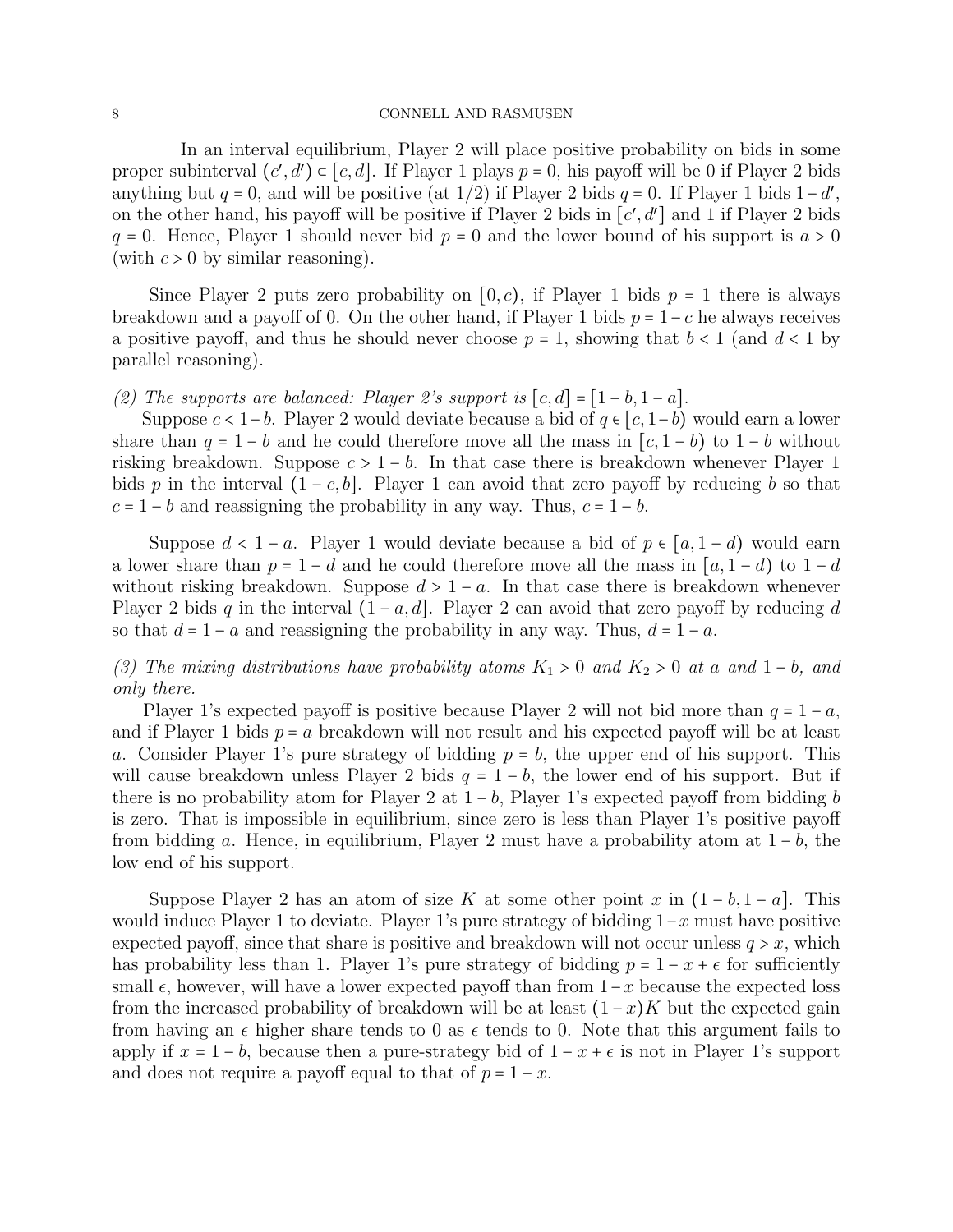In an interval equilibrium, Player 2 will place positive probability on bids in some proper subinterval  $(c', d') \subset [c, d]$ . If Player 1 plays  $p = 0$ , his payoff will be 0 if Player 2 bids anything but  $q = 0$ , and will be positive (at 1/2) if Player 2 bids  $q = 0$ . If Player 1 bids  $1-d'$ , on the other hand, his payoff will be positive if Player 2 bids in  $[c', d']$  and 1 if Player 2 bids  $q = 0$ . Hence, Player 1 should never bid  $p = 0$  and the lower bound of his support is  $a > 0$ (with  $c > 0$  by similar reasoning).

Since Player 2 puts zero probability on  $[0, c)$ , if Player 1 bids  $p = 1$  there is always breakdown and a payoff of 0. On the other hand, if Player 1 bids  $p = 1 - c$  he always receives a positive payoff, and thus he should never choose  $p = 1$ , showing that  $b < 1$  (and  $d < 1$  by parallel reasoning).

# (2) The supports are balanced: Player 2's support is  $[c, d] = [1 - b, 1 - a]$ .

Suppose  $c < 1-b$ . Player 2 would deviate because a bid of  $q \in [c, 1-b)$  would earn a lower share than  $q = 1 - b$  and he could therefore move all the mass in  $[c, 1 - b]$  to  $1 - b$  without risking breakdown. Suppose  $c > 1 - b$ . In that case there is breakdown whenever Player 1 bids p in the interval  $(1 - c, b]$ . Player 1 can avoid that zero payoff by reducing b so that  $c = 1 - b$  and reassigning the probability in any way. Thus,  $c = 1 - b$ .

Suppose  $d < 1 - a$ . Player 1 would deviate because a bid of  $p \in [a, 1 - d)$  would earn a lower share than  $p = 1 - d$  and he could therefore move all the mass in  $[a, 1 - d)$  to  $1 - d$ without risking breakdown. Suppose  $d > 1 - a$ . In that case there is breakdown whenever Player 2 bids q in the interval  $(1 - a, d]$ . Player 2 can avoid that zero payoff by reducing d so that  $d = 1 - a$  and reassigning the probability in any way. Thus,  $d = 1 - a$ .

(3) The mixing distributions have probability atoms  $K_1 > 0$  and  $K_2 > 0$  at a and  $1 - b$ , and only there.

Player 1's expected payoff is positive because Player 2 will not bid more than  $q = 1 - a$ , and if Player 1 bids  $p = a$  breakdown will not result and his expected payoff will be at least a. Consider Player 1's pure strategy of bidding  $p = b$ , the upper end of his support. This will cause breakdown unless Player 2 bids  $q = 1 - b$ , the lower end of his support. But if there is no probability atom for Player 2 at  $1-b$ , Player 1's expected payoff from bidding b is zero. That is impossible in equilibrium, since zero is less than Player 1's positive payoff from bidding a. Hence, in equilibrium, Player 2 must have a probability atom at  $1 - b$ , the low end of his support.

Suppose Player 2 has an atom of size K at some other point x in  $(1 - b, 1 - a)$ . This would induce Player 1 to deviate. Player 1's pure strategy of bidding  $1-x$  must have positive expected payoff, since that share is positive and breakdown will not occur unless  $q > x$ , which has probability less than 1. Player 1's pure strategy of bidding  $p = 1 - x + \epsilon$  for sufficiently small  $\epsilon$ , however, will have a lower expected payoff than from  $1-x$  because the expected loss from the increased probability of breakdown will be at least  $(1-x)K$  but the expected gain from having an  $\epsilon$  higher share tends to 0 as  $\epsilon$  tends to 0. Note that this argument fails to apply if  $x = 1 - b$ , because then a pure-strategy bid of  $1 - x + \epsilon$  is not in Player 1's support and does not require a payoff equal to that of  $p = 1 - x$ .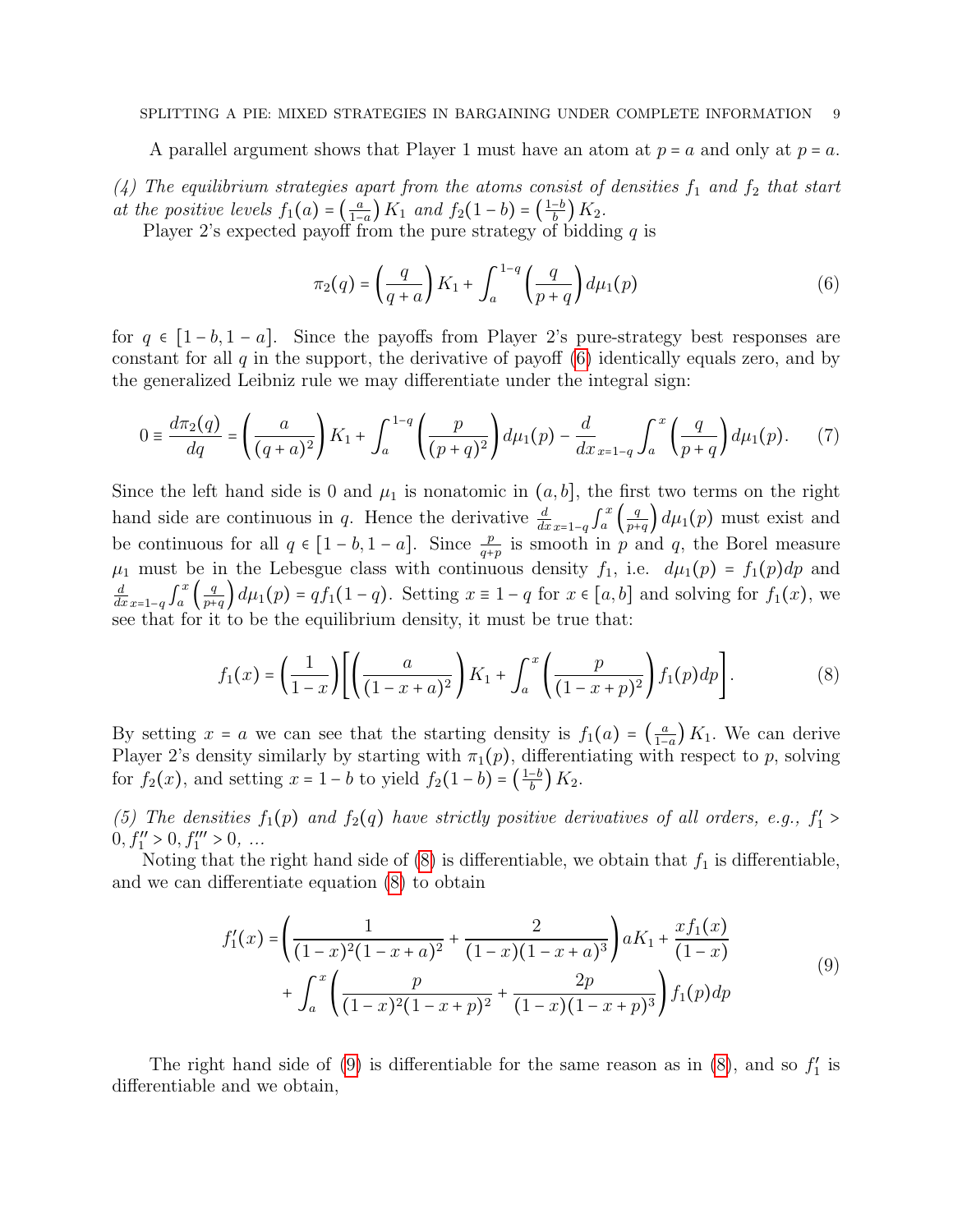### SPLITTING A PIE: MIXED STRATEGIES IN BARGAINING UNDER COMPLETE INFORMATION 9

A parallel argument shows that Player 1 must have an atom at  $p = a$  and only at  $p = a$ .

(4) The equilibrium strategies apart from the atoms consist of densities  $f_1$  and  $f_2$  that start at the positive levels  $f_1(a) = \left(\frac{a}{1-a}\right)^2$  $\frac{a}{1-a}$   $K_1$  and  $f_2(1-b) = \left(\frac{1-b}{b}\right)K_2$ .

Player 2's expected payoff from the pure strategy of bidding  $q$  is

<span id="page-8-0"></span>
$$
\pi_2(q) = \left(\frac{q}{q+a}\right) K_1 + \int_a^{1-q} \left(\frac{q}{p+q}\right) d\mu_1(p) \tag{6}
$$

for  $q \in [1-b, 1-a]$ . Since the payoffs from Player 2's pure-strategy best responses are constant for all  $q$  in the support, the derivative of payoff  $(6)$  identically equals zero, and by the generalized Leibniz rule we may differentiate under the integral sign:

<span id="page-8-3"></span>
$$
0 \equiv \frac{d\pi_2(q)}{dq} = \left(\frac{a}{(q+a)^2}\right)K_1 + \int_a^{1-q} \left(\frac{p}{(p+q)^2}\right) d\mu_1(p) - \frac{d}{dx}_{x=1-q} \int_a^x \left(\frac{q}{p+q}\right) d\mu_1(p). \tag{7}
$$

Since the left hand side is 0 and  $\mu_1$  is nonatomic in  $(a, b]$ , the first two terms on the right hand side are continuous in q. Hence the derivative  $\frac{d}{dx}$ <sub>x=1-q</sub>  $\int_a^x$  $\int_a^x \left( \frac{q}{p+1} \right)$  $\frac{q}{p+q}$  d $\mu_1(p)$  must exist and be continuous for all  $q \in [1-b, 1-a]$ . Since  $\frac{p}{q+p}$  is smooth in p and q, the Borel measure  $\mu_1$  must be in the Lebesgue class with continuous density  $f_1$ , i.e.  $d\mu_1(p) = f_1(p)dp$  and  $\frac{d}{dx}$ <sub>x=1−q</sub>  $\int_a^x$  $\int_a^x \left( \frac{q}{p+1} \right)$  $\frac{q}{p+q}$  d $\mu_1(p)$  =  $qf_1(1-q)$ . Setting  $x \equiv 1-q$  for  $x \in [a, b]$  and solving for  $f_1(x)$ , we see that for it to be the equilibrium density, it must be true that:

<span id="page-8-1"></span>
$$
f_1(x) = \left(\frac{1}{1-x}\right) \left[ \left(\frac{a}{(1-x+a)^2}\right) K_1 + \int_a^x \left(\frac{p}{(1-x+p)^2}\right) f_1(p) dp \right].
$$
 (8)

By setting  $x = a$  we can see that the starting density is  $f_1(a) = \left(\frac{a}{1-a}\right)^a$  $\frac{a}{1-a}$  K<sub>1</sub>. We can derive Player 2's density similarly by starting with  $\pi_1(p)$ , differentiating with respect to p, solving for  $f_2(x)$ , and setting  $x = 1 - b$  to yield  $f_2(1 - b) = \left(\frac{1 - b}{b}\right) K_2$ .

(5) The densities  $f_1(p)$  and  $f_2(q)$  have strictly positive derivatives of all orders, e.g.,  $f'_1$  >  $0, f_1'' > 0, f_1''' > 0, ...$ 

Noting that the right hand side of  $(8)$  is differentiable, we obtain that  $f_1$  is differentiable, and we can differentiate equation [\(8\)](#page-8-1) to obtain

<span id="page-8-2"></span>
$$
f_1'(x) = \left(\frac{1}{(1-x)^2(1-x+a)^2} + \frac{2}{(1-x)(1-x+a)^3}\right) aK_1 + \frac{x f_1(x)}{(1-x)} + \int_a^x \left(\frac{p}{(1-x)^2(1-x+p)^2} + \frac{2p}{(1-x)(1-x+p)^3}\right) f_1(p) dp
$$
\n(9)

The right hand side of [\(9\)](#page-8-2) is differentiable for the same reason as in  $(8)$ , and so  $f'_1$  is differentiable and we obtain,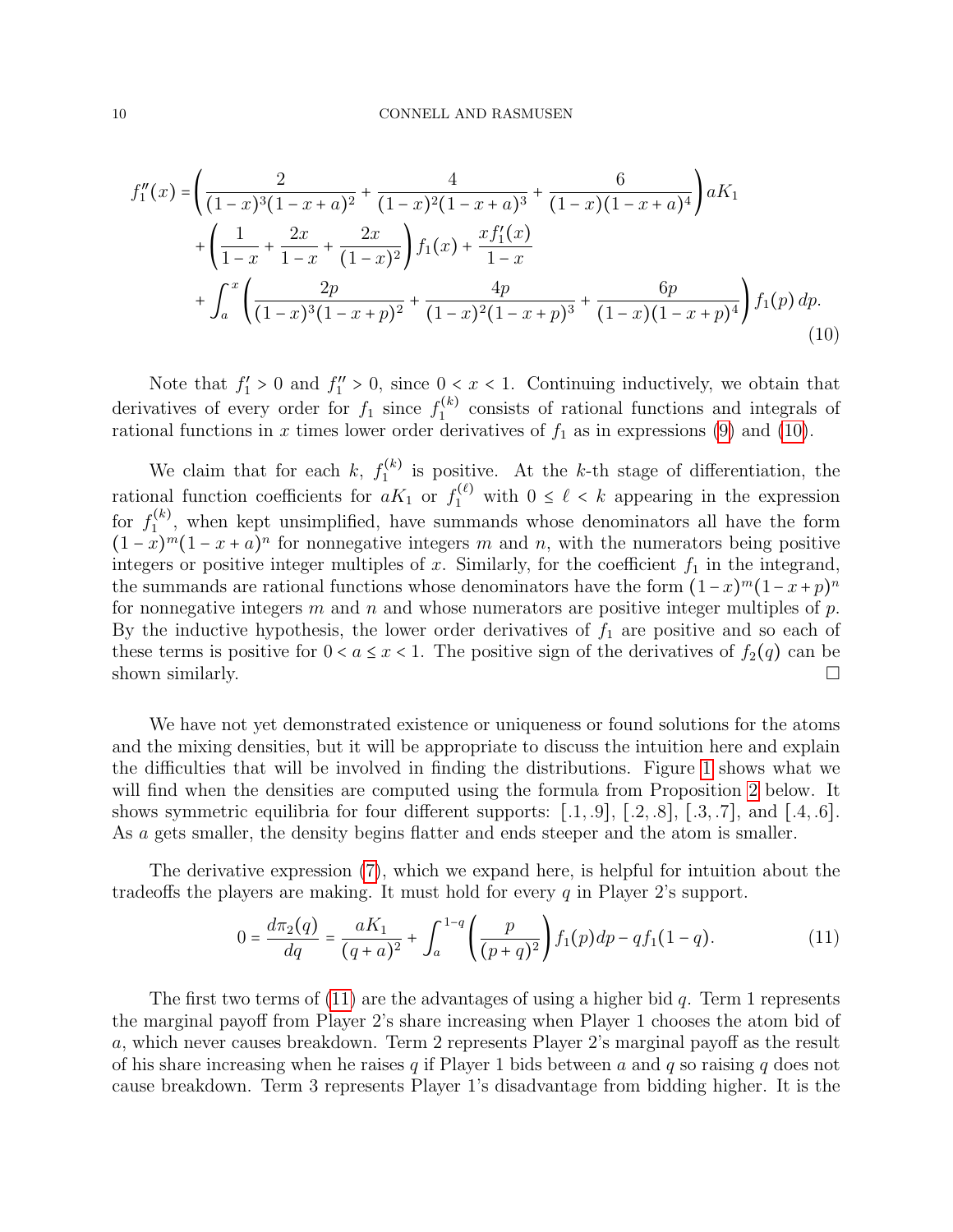<span id="page-9-0"></span>
$$
f_1''(x) = \left(\frac{2}{(1-x)^3(1-x+a)^2} + \frac{4}{(1-x)^2(1-x+a)^3} + \frac{6}{(1-x)(1-x+a)^4}\right) aK_1
$$
  
+ 
$$
\left(\frac{1}{1-x} + \frac{2x}{1-x} + \frac{2x}{(1-x)^2}\right) f_1(x) + \frac{xf_1'(x)}{1-x}
$$
  
+ 
$$
\int_a^x \left(\frac{2p}{(1-x)^3(1-x+p)^2} + \frac{4p}{(1-x)^2(1-x+p)^3} + \frac{6p}{(1-x)(1-x+p)^4}\right) f_1(p) dp.
$$
  
(10)

Note that  $f_1' > 0$  and  $f_1'' > 0$ , since  $0 < x < 1$ . Continuing inductively, we obtain that derivatives of every order for  $f_1$  since  $f_1^{(k)}$  $\binom{K}{1}$  consists of rational functions and integrals of rational functions in x times lower order derivatives of  $f_1$  as in expressions [\(9\)](#page-8-2) and [\(10\)](#page-9-0).

We claim that for each k,  $f_1^{(k)}$  $i_{1}^{(k)}$  is positive. At the k-th stage of differentiation, the rational function coefficients for  $aK_1$  or  $f_1^{(\ell)}$  with  $0 \leq \ell \leq k$  appearing in the expression for  $f_1^{(k)}$  $\mathcal{L}_{1}^{(k)}$ , when kept unsimplified, have summands whose denominators all have the form  $(1-x)^m(1-x+a)^n$  for nonnegative integers m and n, with the numerators being positive integers or positive integer multiples of x. Similarly, for the coefficient  $f_1$  in the integrand, the summands are rational functions whose denominators have the form  $(1-x)^m(1-x+p)^n$ for nonnegative integers m and n and whose numerators are positive integer multiples of  $p$ . By the inductive hypothesis, the lower order derivatives of  $f_1$  are positive and so each of these terms is positive for  $0 < a \leq x < 1$ . The positive sign of the derivatives of  $f_2(q)$  can be shown similarly.  $\Box$ 

We have not yet demonstrated existence or uniqueness or found solutions for the atoms and the mixing densities, but it will be appropriate to discuss the intuition here and explain the difficulties that will be involved in finding the distributions. Figure [1](#page-10-0) shows what we will find when the densities are computed using the formula from Proposition [2](#page-12-0) below. It shows symmetric equilibria for four different supports:  $[.1, .9]$ ,  $[.2, .8]$ ,  $[.3, .7]$ , and  $[.4, .6]$ . As a gets smaller, the density begins flatter and ends steeper and the atom is smaller.

The derivative expression [\(7\)](#page-8-3), which we expand here, is helpful for intuition about the tradeoffs the players are making. It must hold for every q in Player 2's support.

<span id="page-9-1"></span>
$$
0 = \frac{d\pi_2(q)}{dq} = \frac{aK_1}{(q+a)^2} + \int_a^{1-q} \left(\frac{p}{(p+q)^2}\right) f_1(p) dp - q f_1(1-q). \tag{11}
$$

The first two terms of  $(11)$  are the advantages of using a higher bid q. Term 1 represents the marginal payoff from Player 2's share increasing when Player 1 chooses the atom bid of a, which never causes breakdown. Term 2 represents Player 2's marginal payoff as the result of his share increasing when he raises q if Player 1 bids between a and q so raising q does not cause breakdown. Term 3 represents Player 1's disadvantage from bidding higher. It is the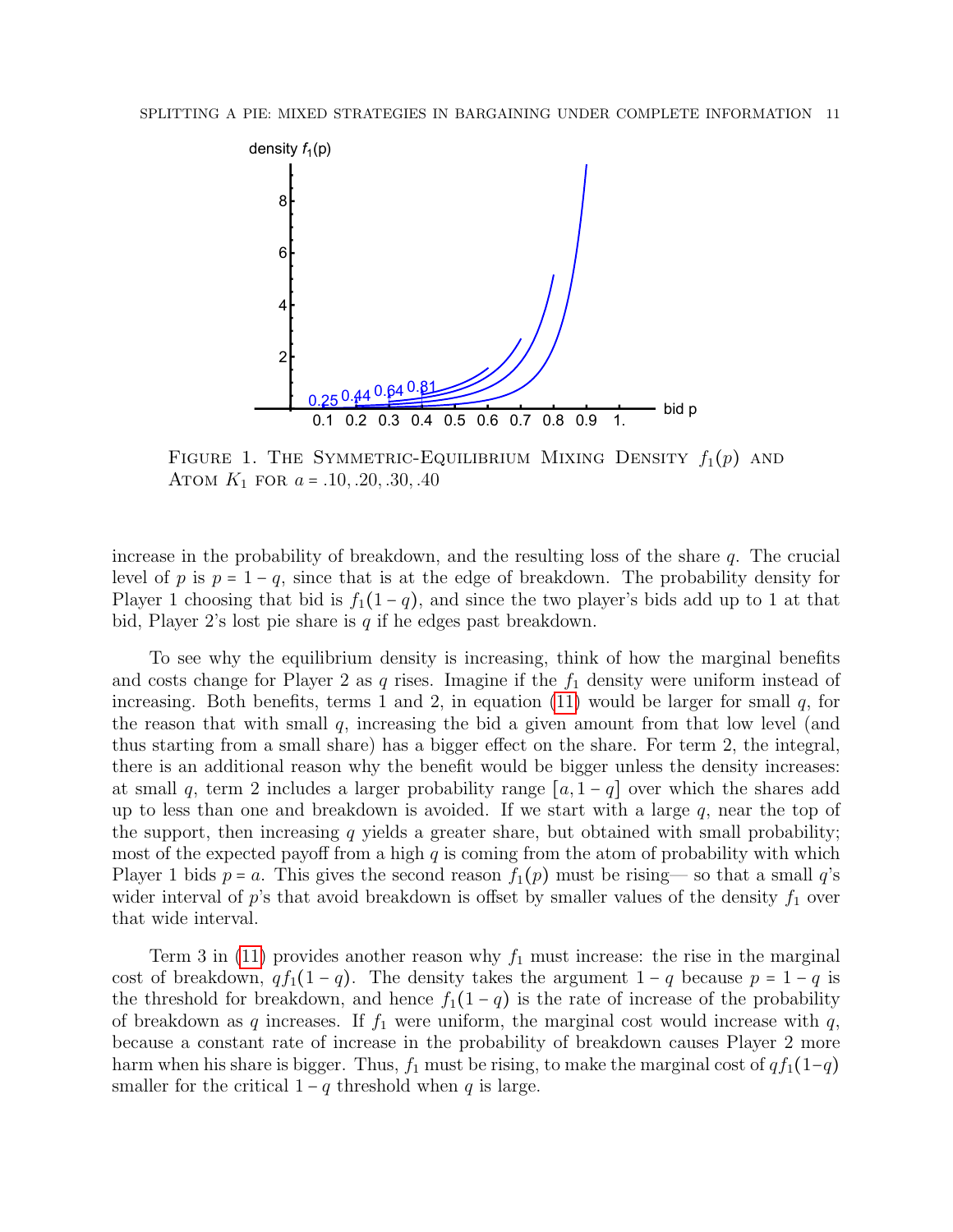

<span id="page-10-0"></span>FIGURE 1. THE SYMMETRIC-EQUILIBRIUM MIXING DENSITY  $f_1(p)$  and ATOM  $K_1$  for  $a = .10, .20, .30, .40$ 

increase in the probability of breakdown, and the resulting loss of the share  $q$ . The crucial level of p is  $p = 1 - q$ , since that is at the edge of breakdown. The probability density for Player 1 choosing that bid is  $f_1(1-q)$ , and since the two player's bids add up to 1 at that bid, Player 2's lost pie share is  $q$  if he edges past breakdown.

To see why the equilibrium density is increasing, think of how the marginal benefits and costs change for Player 2 as q rises. Imagine if the  $f_1$  density were uniform instead of increasing. Both benefits, terms 1 and 2, in equation [\(11\)](#page-9-1) would be larger for small  $q$ , for the reason that with small  $q$ , increasing the bid a given amount from that low level (and thus starting from a small share) has a bigger effect on the share. For term 2, the integral, there is an additional reason why the benefit would be bigger unless the density increases: at small q, term 2 includes a larger probability range  $[a, 1-q]$  over which the shares add up to less than one and breakdown is avoided. If we start with a large  $q$ , near the top of the support, then increasing  $q$  yields a greater share, but obtained with small probability; most of the expected payoff from a high  $q$  is coming from the atom of probability with which Player 1 bids  $p = a$ . This gives the second reason  $f_1(p)$  must be rising— so that a small  $q$ 's wider interval of p's that avoid breakdown is offset by smaller values of the density  $f_1$  over that wide interval.

Term 3 in [\(11\)](#page-9-1) provides another reason why  $f_1$  must increase: the rise in the marginal cost of breakdown,  $q f_1(1 - q)$ . The density takes the argument  $1 - q$  because  $p = 1 - q$  is the threshold for breakdown, and hence  $f_1(1-q)$  is the rate of increase of the probability of breakdown as q increases. If  $f_1$  were uniform, the marginal cost would increase with q, because a constant rate of increase in the probability of breakdown causes Player 2 more harm when his share is bigger. Thus,  $f_1$  must be rising, to make the marginal cost of  $q f_1(1-q)$ smaller for the critical  $1 - q$  threshold when q is large.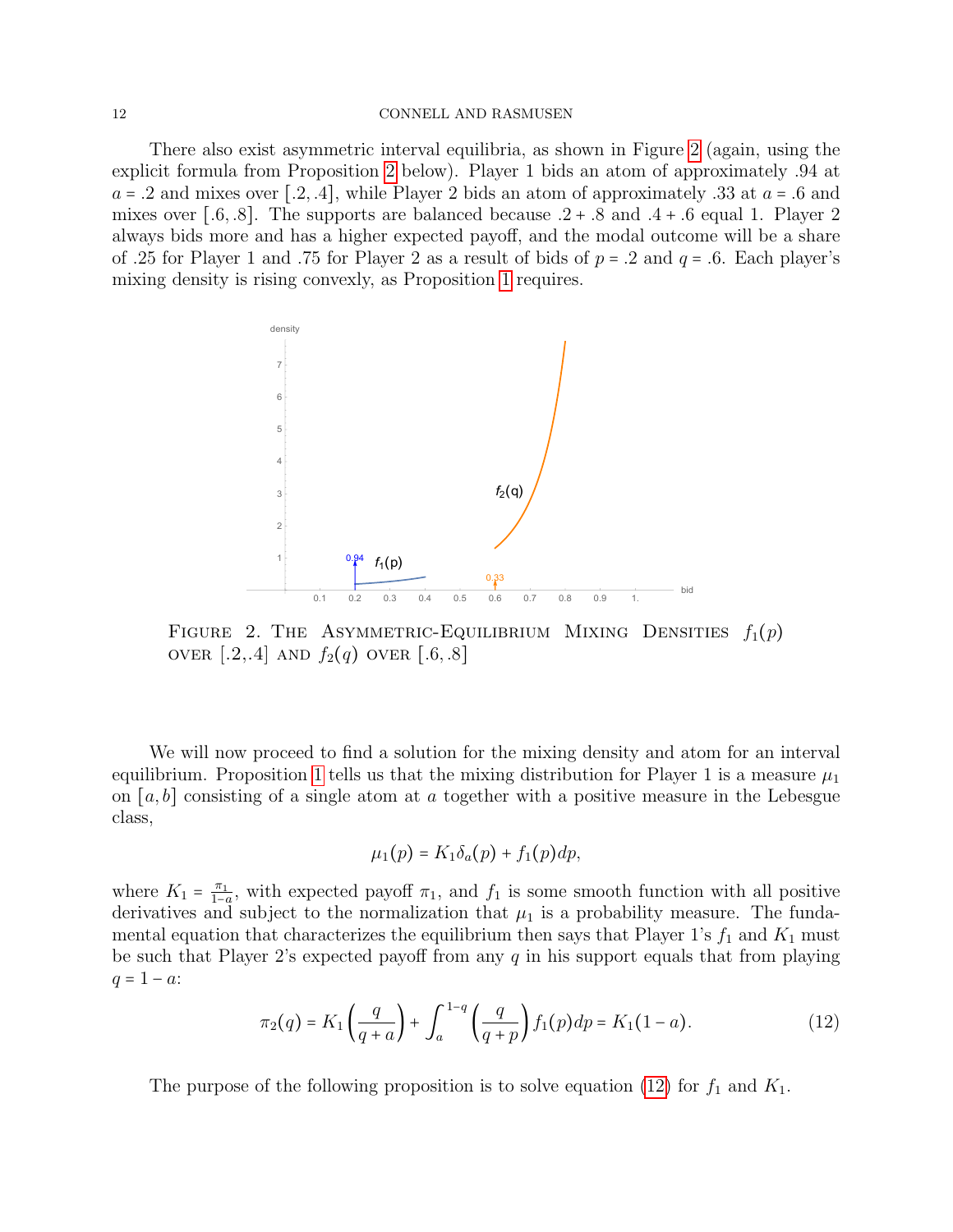There also exist asymmetric interval equilibria, as shown in Figure [2](#page-11-0) (again, using the explicit formula from Proposition [2](#page-12-0) below). Player 1 bids an atom of approximately .94 at  $a = .2$  and mixes over [.2, .4], while Player 2 bids an atom of approximately .33 at  $a = .6$  and mixes over [.6, .8]. The supports are balanced because  $.2 + .8$  and  $.4 + .6$  equal 1. Player 2 always bids more and has a higher expected payoff, and the modal outcome will be a share of .25 for Player 1 and .75 for Player 2 as a result of bids of  $p = .2$  and  $q = .6$ . Each player's mixing density is rising convexly, as Proposition [1](#page-6-1) requires.



FIGURE 2. THE ASYMMETRIC-EQUILIBRIUM MIXING DENSITIES  $f_1(p)$ OVER [.2,.4] AND  $f_2(q)$  OVER [.6,.8]

We will now proceed to find a solution for the mixing density and atom for an interval equilibrium. Proposition [1](#page-6-1) tells us that the mixing distribution for Player 1 is a measure  $\mu_1$ on  $[a, b]$  consisting of a single atom at a together with a positive measure in the Lebesgue class,

<span id="page-11-0"></span>
$$
\mu_1(p) = K_1 \delta_a(p) + f_1(p) dp,
$$

where  $K_1 = \frac{\pi_1}{1-\epsilon}$  $\frac{\pi_1}{1-a}$ , with expected payoff  $\pi_1$ , and  $f_1$  is some smooth function with all positive derivatives and subject to the normalization that  $\mu_1$  is a probability measure. The fundamental equation that characterizes the equilibrium then says that Player 1's  $f_1$  and  $K_1$  must be such that Player 2's expected payoff from any  $q$  in his support equals that from playing  $q = 1 - a$ :

<span id="page-11-1"></span>
$$
\pi_2(q) = K_1\left(\frac{q}{q+a}\right) + \int_a^{1-q} \left(\frac{q}{q+p}\right) f_1(p) dp = K_1(1-a). \tag{12}
$$

The purpose of the following proposition is to solve equation [\(12\)](#page-11-1) for  $f_1$  and  $K_1$ .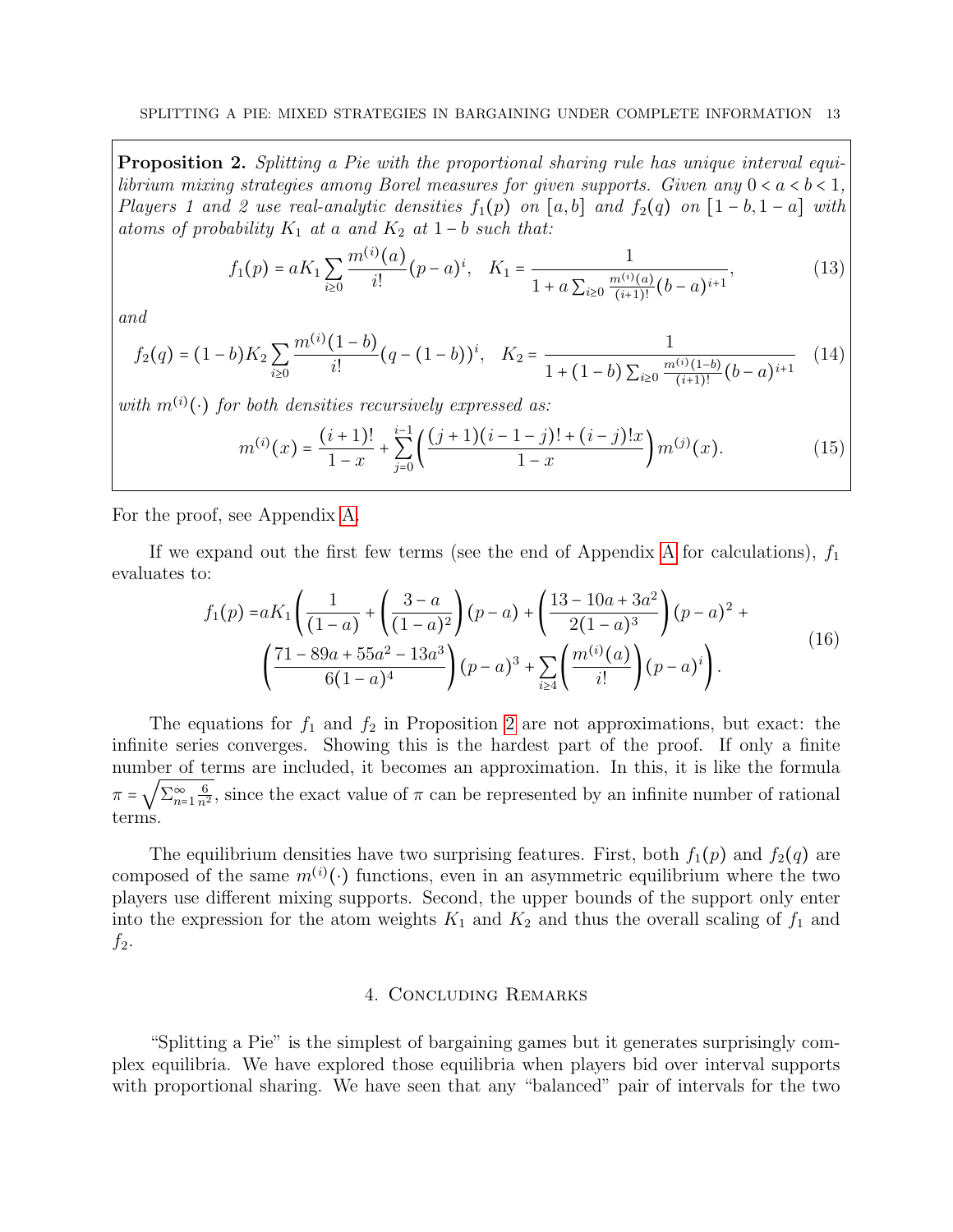<span id="page-12-0"></span>Proposition 2. Splitting a Pie with the proportional sharing rule has unique interval equilibrium mixing strategies among Borel measures for given supports. Given any  $0 < a < b < 1$ , Players 1 and 2 use real-analytic densities  $f_1(p)$  on  $[a, b]$  and  $f_2(q)$  on  $[1 - b, 1 - a]$  with atoms of probability  $K_1$  at a and  $K_2$  at  $1-b$  such that:

$$
f_1(p) = aK_1 \sum_{i\geq 0} \frac{m^{(i)}(a)}{i!} (p-a)^i, \quad K_1 = \frac{1}{1 + a \sum_{i\geq 0} \frac{m^{(i)}(a)}{(i+1)!} (b-a)^{i+1}},
$$
(13)

and

$$
f_2(q) = (1-b)K_2 \sum_{i\geq 0} \frac{m^{(i)}(1-b)}{i!} (q - (1-b))^i, \quad K_2 = \frac{1}{1 + (1-b) \sum_{i\geq 0} \frac{m^{(i)}(1-b)}{(i+1)!} (b-a)^{i+1}} \quad (14)
$$

with  $m^{(i)}(\cdot)$  for both densities recursively expressed as:

$$
m^{(i)}(x) = \frac{(i+1)!}{1-x} + \sum_{j=0}^{i-1} \left( \frac{(j+1)(i-1-j)! + (i-j)!x}{1-x} \right) m^{(j)}(x).
$$
 (15)

For the proof, see Appendix [A.](#page-14-0)

If we expand out the first few terms (see the end of [A](#page-14-0)ppendix A for calculations),  $f_1$ evaluates to:

$$
f_1(p) = aK_1 \left( \frac{1}{(1-a)} + \left( \frac{3-a}{(1-a)^2} \right) (p-a) + \left( \frac{13-10a+3a^2}{2(1-a)^3} \right) (p-a)^2 + \left( \frac{71-89a+55a^2-13a^3}{6(1-a)^4} \right) (p-a)^3 + \sum_{i \ge 4} \left( \frac{m^{(i)}(a)}{i!} \right) (p-a)^i \right).
$$
 (16)

The equations for  $f_1$  and  $f_2$  in Proposition [2](#page-12-0) are not approximations, but exact: the infinite series converges. Showing this is the hardest part of the proof. If only a finite number of terms are included, it becomes an approximation. In this, it is like the formula  $\pi = \sqrt{\sum_{n=1}^{\infty} \frac{6}{n^2}}$ , since the exact value of  $\pi$  can be represented by an infinite number of rational terms.

The equilibrium densities have two surprising features. First, both  $f_1(p)$  and  $f_2(q)$  are composed of the same  $m^{(i)}(\cdot)$  functions, even in an asymmetric equilibrium where the two players use different mixing supports. Second, the upper bounds of the support only enter into the expression for the atom weights  $K_1$  and  $K_2$  and thus the overall scaling of  $f_1$  and  $f_2$ .

## <span id="page-12-1"></span>4. Concluding Remarks

"Splitting a Pie" is the simplest of bargaining games but it generates surprisingly complex equilibria. We have explored those equilibria when players bid over interval supports with proportional sharing. We have seen that any "balanced" pair of intervals for the two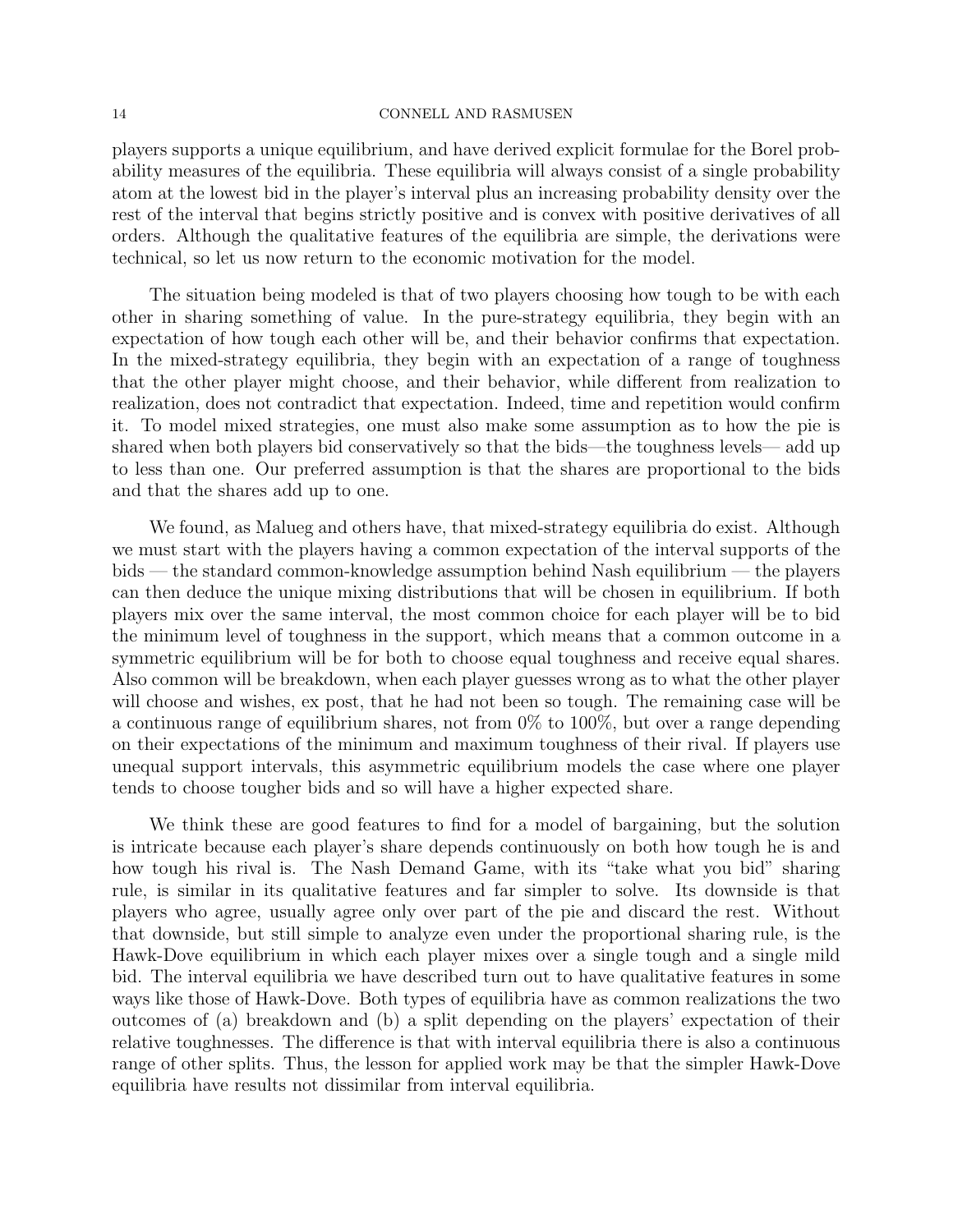players supports a unique equilibrium, and have derived explicit formulae for the Borel probability measures of the equilibria. These equilibria will always consist of a single probability atom at the lowest bid in the player's interval plus an increasing probability density over the rest of the interval that begins strictly positive and is convex with positive derivatives of all orders. Although the qualitative features of the equilibria are simple, the derivations were technical, so let us now return to the economic motivation for the model.

The situation being modeled is that of two players choosing how tough to be with each other in sharing something of value. In the pure-strategy equilibria, they begin with an expectation of how tough each other will be, and their behavior confirms that expectation. In the mixed-strategy equilibria, they begin with an expectation of a range of toughness that the other player might choose, and their behavior, while different from realization to realization, does not contradict that expectation. Indeed, time and repetition would confirm it. To model mixed strategies, one must also make some assumption as to how the pie is shared when both players bid conservatively so that the bids—the toughness levels— add up to less than one. Our preferred assumption is that the shares are proportional to the bids and that the shares add up to one.

We found, as Malueg and others have, that mixed-strategy equilibria do exist. Although we must start with the players having a common expectation of the interval supports of the bids — the standard common-knowledge assumption behind Nash equilibrium — the players can then deduce the unique mixing distributions that will be chosen in equilibrium. If both players mix over the same interval, the most common choice for each player will be to bid the minimum level of toughness in the support, which means that a common outcome in a symmetric equilibrium will be for both to choose equal toughness and receive equal shares. Also common will be breakdown, when each player guesses wrong as to what the other player will choose and wishes, ex post, that he had not been so tough. The remaining case will be a continuous range of equilibrium shares, not from 0% to 100%, but over a range depending on their expectations of the minimum and maximum toughness of their rival. If players use unequal support intervals, this asymmetric equilibrium models the case where one player tends to choose tougher bids and so will have a higher expected share.

We think these are good features to find for a model of bargaining, but the solution is intricate because each player's share depends continuously on both how tough he is and how tough his rival is. The Nash Demand Game, with its "take what you bid" sharing rule, is similar in its qualitative features and far simpler to solve. Its downside is that players who agree, usually agree only over part of the pie and discard the rest. Without that downside, but still simple to analyze even under the proportional sharing rule, is the Hawk-Dove equilibrium in which each player mixes over a single tough and a single mild bid. The interval equilibria we have described turn out to have qualitative features in some ways like those of Hawk-Dove. Both types of equilibria have as common realizations the two outcomes of (a) breakdown and (b) a split depending on the players' expectation of their relative toughnesses. The difference is that with interval equilibria there is also a continuous range of other splits. Thus, the lesson for applied work may be that the simpler Hawk-Dove equilibria have results not dissimilar from interval equilibria.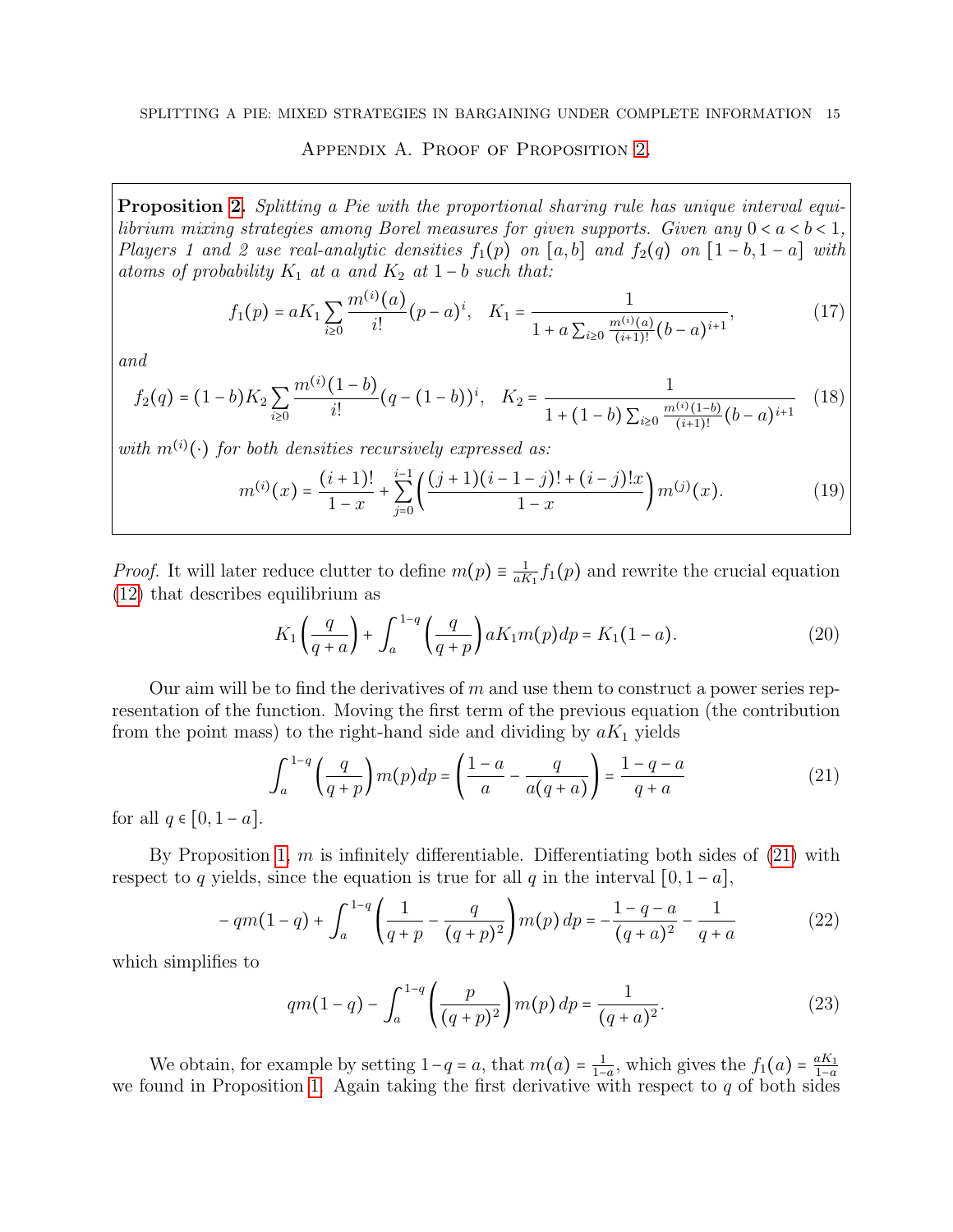# Appendix A. Proof of Proposition [2.](#page-12-0)

<span id="page-14-0"></span>Proposition [2.](#page-12-0) Splitting a Pie with the proportional sharing rule has unique interval equilibrium mixing strategies among Borel measures for given supports. Given any  $0 < a < b < 1$ , Players 1 and 2 use real-analytic densities  $f_1(p)$  on  $[a, b]$  and  $f_2(q)$  on  $[1 - b, 1 - a]$  with atoms of probability  $K_1$  at a and  $K_2$  at  $1-b$  such that:

$$
f_1(p) = aK_1 \sum_{i\geq 0} \frac{m^{(i)}(a)}{i!} (p-a)^i, \quad K_1 = \frac{1}{1 + a \sum_{i\geq 0} \frac{m^{(i)}(a)}{(i+1)!} (b-a)^{i+1}},
$$
(17)

and

$$
f_2(q) = (1-b)K_2 \sum_{i\geq 0} \frac{m^{(i)}(1-b)}{i!} (q - (1-b))^i, \quad K_2 = \frac{1}{1 + (1-b) \sum_{i\geq 0} \frac{m^{(i)}(1-b)}{(i+1)!} (b-a)^{i+1}} \quad (18)
$$

with  $m^{(i)}(\cdot)$  for both densities recursively expressed as:

<span id="page-14-3"></span>
$$
m^{(i)}(x) = \frac{(i+1)!}{1-x} + \sum_{j=0}^{i-1} \left( \frac{(j+1)(i-1-j)! + (i-j)!x}{1-x} \right) m^{(j)}(x).
$$
 (19)

*Proof.* It will later reduce clutter to define  $m(p) \equiv \frac{1}{aR}$  $\frac{1}{aK_1}f_1(p)$  and rewrite the crucial equation [\(12\)](#page-11-1) that describes equilibrium as

$$
K_1\left(\frac{q}{q+a}\right) + \int_a^{1-q} \left(\frac{q}{q+p}\right) aK_1 m(p) dp = K_1(1-a). \tag{20}
$$

Our aim will be to find the derivatives of  $m$  and use them to construct a power series representation of the function. Moving the first term of the previous equation (the contribution from the point mass) to the right-hand side and dividing by  $aK_1$  yields

<span id="page-14-1"></span>
$$
\int_{a}^{1-q} \left(\frac{q}{q+p}\right) m(p) dp = \left(\frac{1-a}{a} - \frac{q}{a(q+a)}\right) = \frac{1-q-a}{q+a} \tag{21}
$$

for all  $q \in [0, 1 - a]$ .

By Proposition [1,](#page-6-1)  $m$  is infinitely differentiable. Differentiating both sides of  $(21)$  with respect to q yields, since the equation is true for all q in the interval  $[0, 1 - a]$ ,

$$
-qm(1-q)+\int_{a}^{1-q}\left(\frac{1}{q+p}-\frac{q}{(q+p)^{2}}\right)m(p)dp=-\frac{1-q-a}{(q+a)^{2}}-\frac{1}{q+a}
$$
(22)

which simplifies to

<span id="page-14-2"></span>
$$
qm(1-q) - \int_{a}^{1-q} \left(\frac{p}{(q+p)^2}\right) m(p) \, dp = \frac{1}{(q+a)^2}.\tag{23}
$$

We obtain, for example by setting  $1-q = a$ , that  $m(a) = \frac{1}{1-q}$  $\frac{1}{1-a}$ , which gives the  $f_1(a) = \frac{aK_1}{1-a}$  $1-a$ we found in Proposition [1.](#page-6-1) Again taking the first derivative with respect to  $q$  of both sides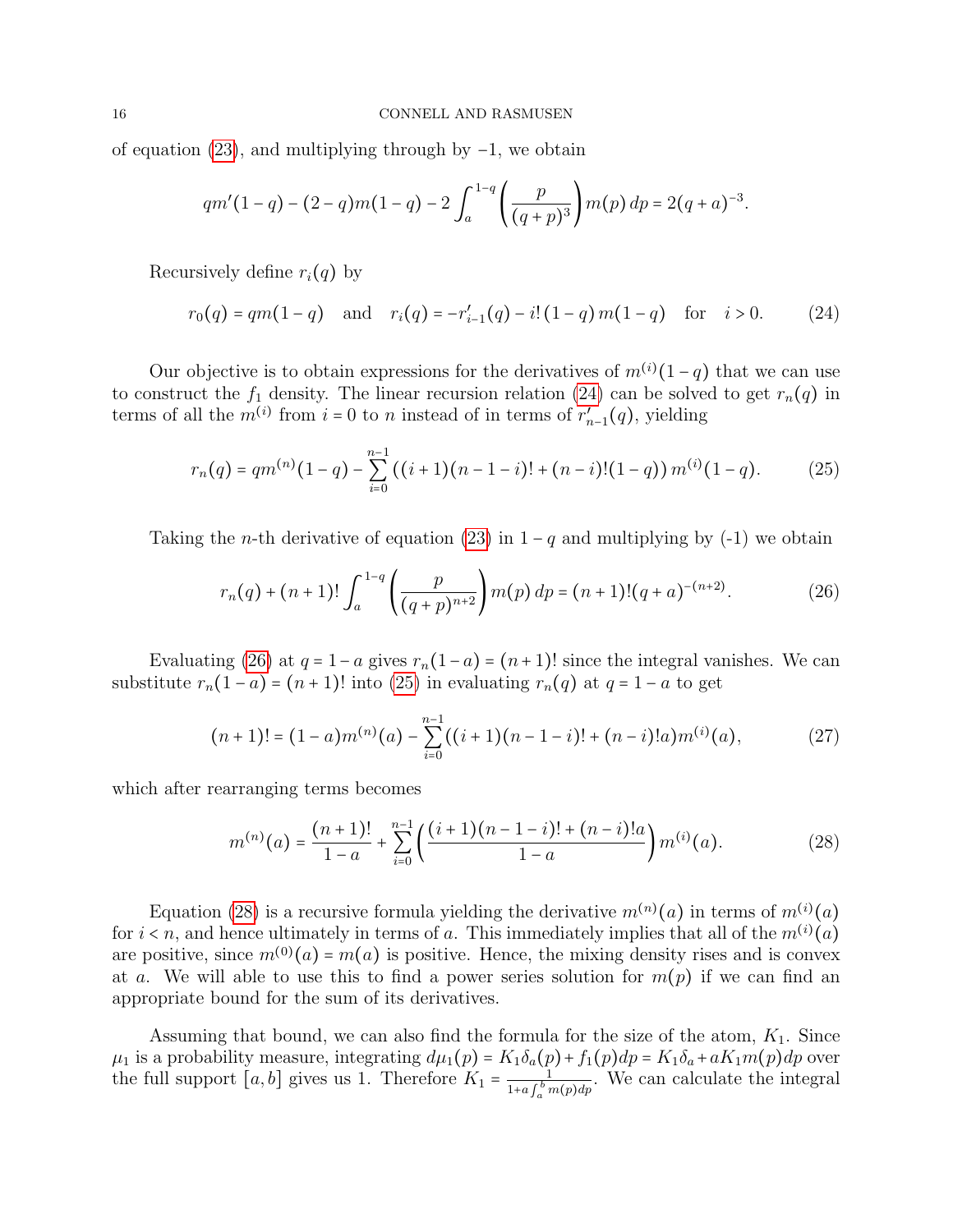of equation [\(23\)](#page-14-2), and multiplying through by −1, we obtain

<span id="page-15-0"></span>
$$
qm'(1-q)-(2-q)m(1-q)-2\int_a^{1-q}\left(\frac{p}{(q+p)^3}\right)m(p)\,dp=2(q+a)^{-3}.
$$

Recursively define  $r_i(q)$  by

$$
r_0(q) = qm(1-q) \quad \text{and} \quad r_i(q) = -r'_{i-1}(q) - i! (1-q) m(1-q) \quad \text{for} \quad i > 0. \tag{24}
$$

Our objective is to obtain expressions for the derivatives of  $m^{(i)}(1-q)$  that we can use to construct the  $f_1$  density. The linear recursion relation [\(24\)](#page-15-0) can be solved to get  $r_n(q)$  in terms of all the  $m^{(i)}$  from  $i = 0$  to n instead of in terms of  $r'_{n-1}(q)$ , yielding

$$
r_n(q) = qm^{(n)}(1-q) - \sum_{i=0}^{n-1} ((i+1)(n-1-i)! + (n-i)!(1-q))m^{(i)}(1-q).
$$
 (25)

Taking the *n*-th derivative of equation [\(23\)](#page-14-2) in  $1 - q$  and multiplying by (-1) we obtain

<span id="page-15-2"></span><span id="page-15-1"></span>
$$
r_n(q) + (n+1)! \int_a^{1-q} \left( \frac{p}{(q+p)^{n+2}} \right) m(p) \, dp = (n+1)! (q+a)^{-(n+2)}.
$$
 (26)

Evaluating [\(26\)](#page-15-1) at  $q = 1-a$  gives  $r_n(1-a) = (n+1)!$  since the integral vanishes. We can substitute  $r_n(1 - a) = (n + 1)!$  into [\(25\)](#page-15-2) in evaluating  $r_n(q)$  at  $q = 1 - a$  to get

$$
(n+1)! = (1-a)m^{(n)}(a) - \sum_{i=0}^{n-1} ((i+1)(n-1-i)! + (n-i)!a)m^{(i)}(a), \qquad (27)
$$

which after rearranging terms becomes

<span id="page-15-3"></span>
$$
m^{(n)}(a) = \frac{(n+1)!}{1-a} + \sum_{i=0}^{n-1} \left( \frac{(i+1)(n-1-i)! + (n-i)!a}{1-a} \right) m^{(i)}(a). \tag{28}
$$

Equation [\(28\)](#page-15-3) is a recursive formula yielding the derivative  $m^{(n)}(a)$  in terms of  $m^{(i)}(a)$ for  $i < n$ , and hence ultimately in terms of a. This immediately implies that all of the  $m^{(i)}(a)$ are positive, since  $m^{(0)}(a) = m(a)$  is positive. Hence, the mixing density rises and is convex at a. We will able to use this to find a power series solution for  $m(p)$  if we can find an appropriate bound for the sum of its derivatives.

Assuming that bound, we can also find the formula for the size of the atom,  $K_1$ . Since  $\mu_1$  is a probability measure, integrating  $d\mu_1(p) = K_1 \delta_a(p) + f_1(p) dp = K_1 \delta_a + a K_1 m(p) dp$  over the full support  $[a, b]$  gives us 1. Therefore  $K_1 = \frac{1}{1 + a f^b}$  $\frac{1}{1+a\int_a^b m(p)dp}$ . We can calculate the integral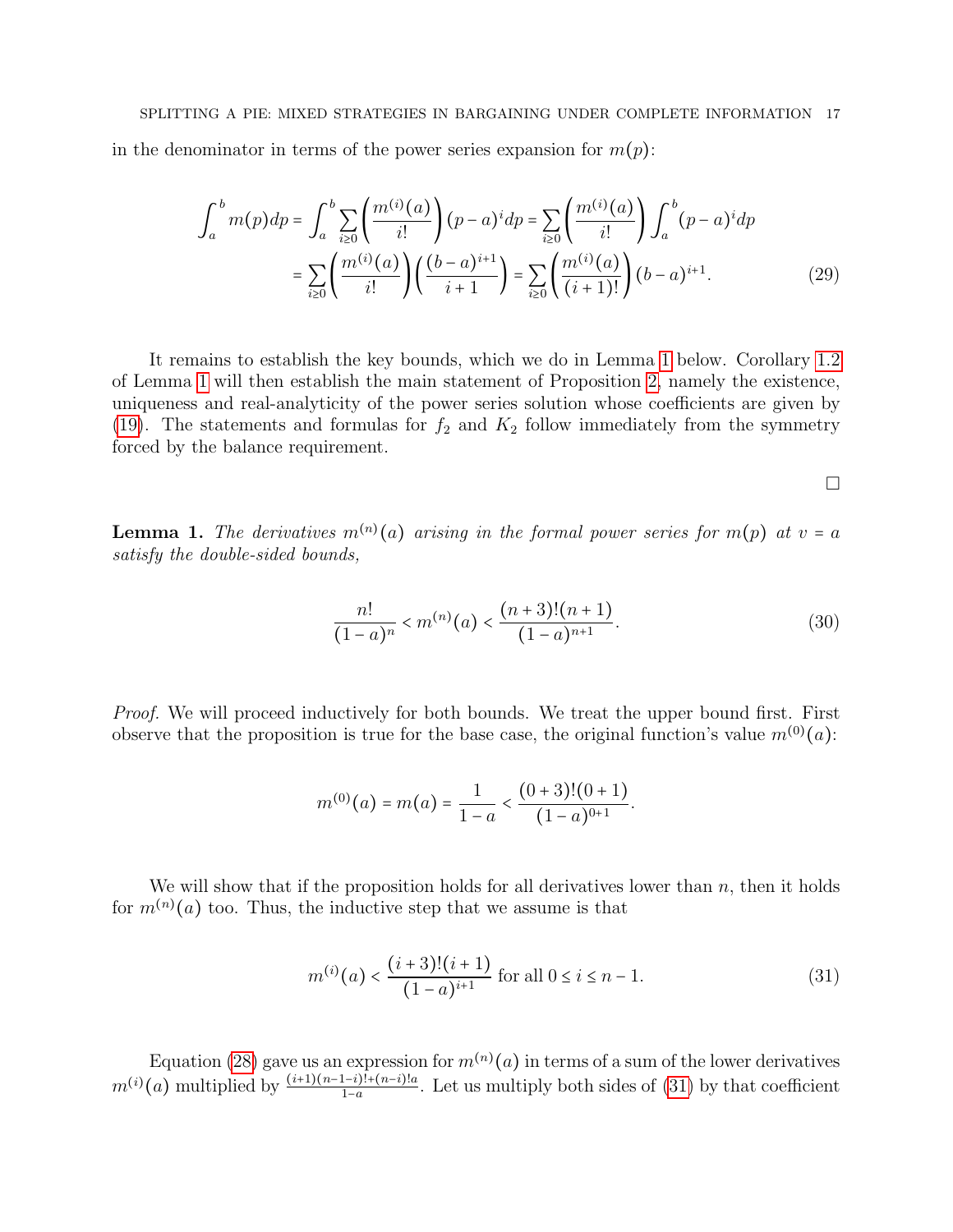$$
\int_{a}^{b} m(p) dp = \int_{a}^{b} \sum_{i \ge 0} \left( \frac{m^{(i)}(a)}{i!} \right) (p-a)^{i} dp = \sum_{i \ge 0} \left( \frac{m^{(i)}(a)}{i!} \right) \int_{a}^{b} (p-a)^{i} dp
$$

$$
= \sum_{i \ge 0} \left( \frac{m^{(i)}(a)}{i!} \right) \left( \frac{(b-a)^{i+1}}{i+1} \right) = \sum_{i \ge 0} \left( \frac{m^{(i)}(a)}{(i+1)!} \right) (b-a)^{i+1}.
$$
(29)

It remains to establish the key bounds, which we do in Lemma [1](#page-16-0) below. Corollary [1.2](#page-21-0) of Lemma [1](#page-16-0) will then establish the main statement of Proposition [2,](#page-12-0) namely the existence, uniqueness and real-analyticity of the power series solution whose coefficients are given by [\(19\)](#page-14-3). The statements and formulas for  $f_2$  and  $K_2$  follow immediately from the symmetry forced by the balance requirement.

 $\Box$ 

<span id="page-16-0"></span>**Lemma 1.** The derivatives  $m^{(n)}(a)$  arising in the formal power series for  $m(p)$  at  $v = a$ satisfy the double-sided bounds,

<span id="page-16-2"></span>
$$
\frac{n!}{(1-a)^n} < m^{(n)}(a) < \frac{(n+3)!(n+1)}{(1-a)^{n+1}}.\tag{30}
$$

Proof. We will proceed inductively for both bounds. We treat the upper bound first. First observe that the proposition is true for the base case, the original function's value  $m^{(0)}(a)$ :

$$
m^{(0)}(a) = m(a) = \frac{1}{1-a} < \frac{(0+3)!(0+1)}{(1-a)^{0+1}}.
$$

We will show that if the proposition holds for all derivatives lower than  $n$ , then it holds for  $m^{(n)}(a)$  too. Thus, the inductive step that we assume is that

<span id="page-16-1"></span>
$$
m^{(i)}(a) < \frac{(i+3)!(i+1)}{(1-a)^{i+1}} \text{ for all } 0 \le i \le n-1. \tag{31}
$$

Equation [\(28\)](#page-15-3) gave us an expression for  $m^{(n)}(a)$  in terms of a sum of the lower derivatives  $m^{(i)}(a)$  multiplied by  $\frac{(i+1)(n-1-i)!+(n-i)!a}{1-a}$ . Let us multiply both sides of [\(31\)](#page-16-1) by that coefficient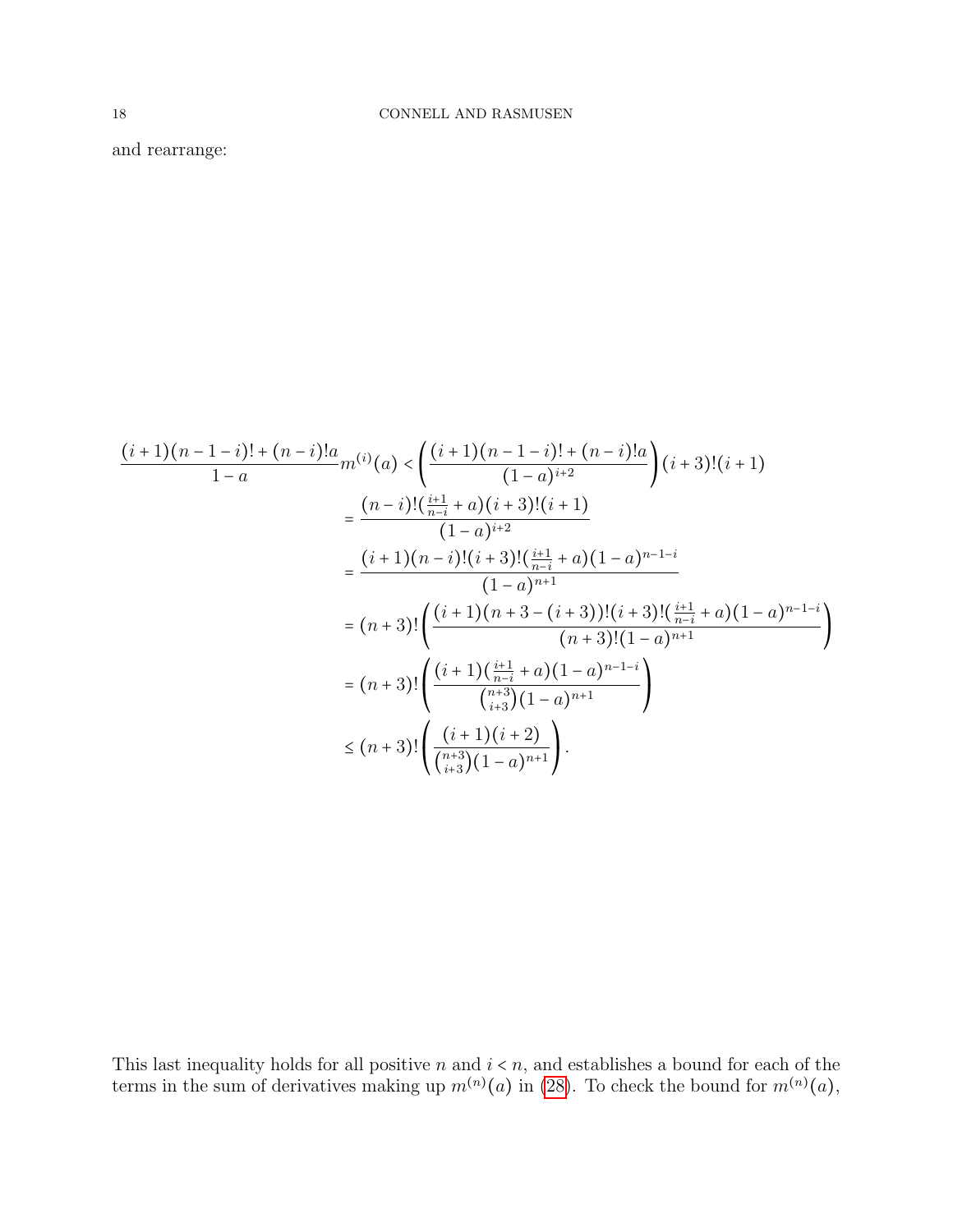and rearrange:

$$
\frac{(i+1)(n-1-i)! + (n-i)!a}{1-a} m^{(i)}(a) < \left(\frac{(i+1)(n-1-i)! + (n-i)!a}{(1-a)^{i+2}}\right) (i+3)!(i+1)
$$
\n
$$
= \frac{(n-i)!\left(\frac{i+1}{n-i} + a\right)(i+3)!(i+1)}{(1-a)^{i+2}}
$$
\n
$$
= \frac{(i+1)(n-i)!(i+3)!\left(\frac{i+1}{n-i} + a\right)(1-a)^{n-1-i}}{(1-a)^{n+1}}
$$
\n
$$
= (n+3)!\left(\frac{(i+1)(n+3-(i+3))!(i+3)!(i+3)!(\frac{i+1}{n-i} + a)(1-a)^{n-1-i}}{(n+3)!(1-a)^{n+1}}\right)
$$
\n
$$
= (n+3)!\left(\frac{(i+1)(\frac{i+1}{n-i} + a)(1-a)^{n-1-i}}{\binom{n+3}{i+3}(1-a)^{n+1}}\right)
$$
\n
$$
\leq (n+3)!\left(\frac{(i+1)(i+2)}{\binom{n+3}{i+3}(1-a)^{n+1}}\right).
$$

This last inequality holds for all positive n and  $i \leq n$ , and establishes a bound for each of the terms in the sum of derivatives making up  $m^{(n)}(a)$  in [\(28\)](#page-15-3). To check the bound for  $m^{(n)}(a)$ ,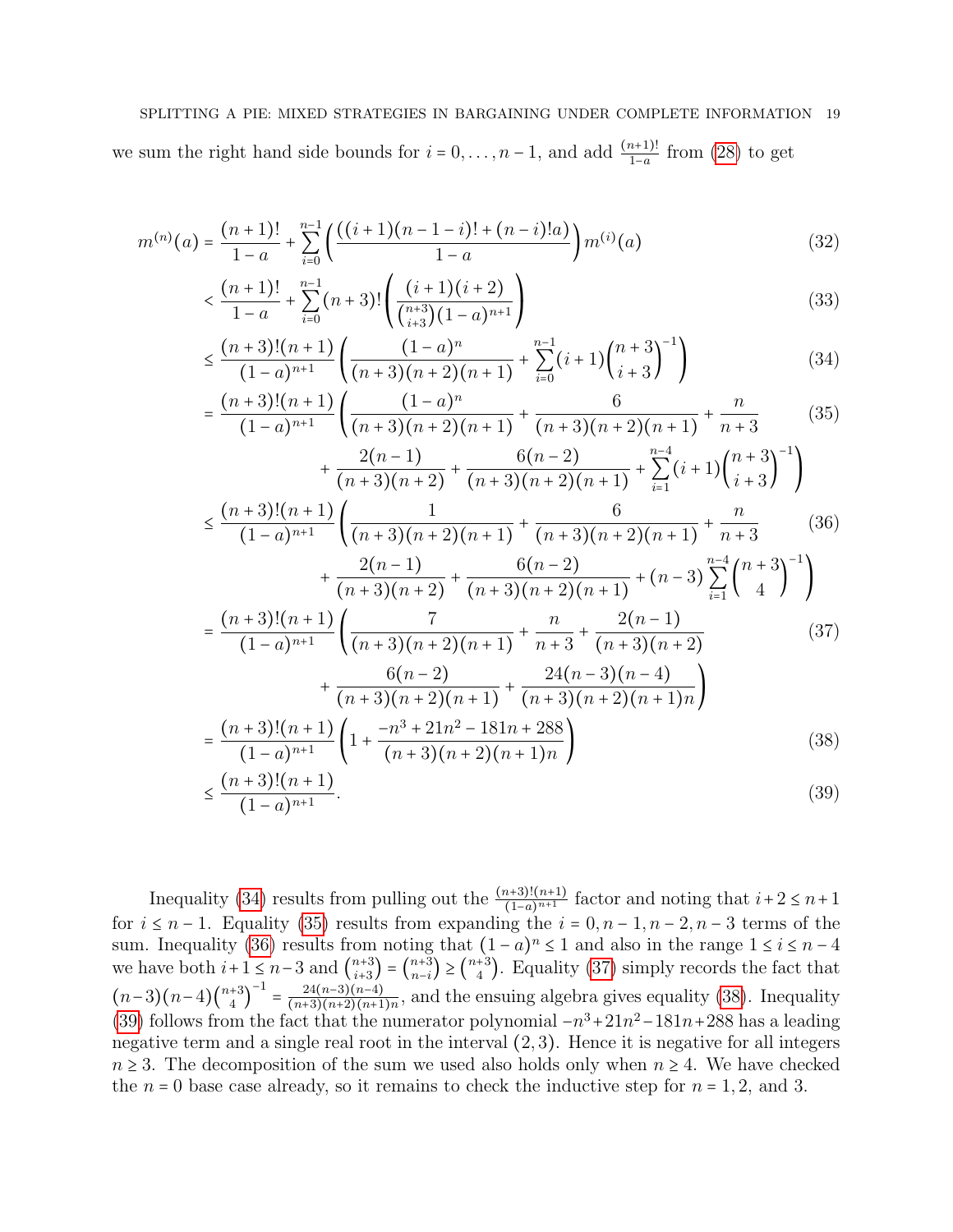### SPLITTING A PIE: MIXED STRATEGIES IN BARGAINING UNDER COMPLETE INFORMATION 19

we sum the right hand side bounds for  $i = 0, \ldots, n-1$ , and add  $\frac{(n+1)!}{1-a}$  from [\(28\)](#page-15-3) to get

$$
m^{(n)}(a) = \frac{(n+1)!}{1-a} + \sum_{i=0}^{n-1} \left( \frac{((i+1)(n-1-i)! + (n-i)!a)}{1-a} \right) m^{(i)}(a)
$$
(32)

$$
\left\langle \frac{(n+1)!}{1-a} + \sum_{i=0}^{n-1} (n+3)! \left( \frac{(i+1)(i+2)}{\binom{n+3}{i+3} (1-a)^{n+1}} \right) \right\rangle
$$
\n(33)

<span id="page-18-6"></span>
$$
\leq \frac{(n+3)!(n+1)}{(1-a)^{n+1}} \left( \frac{(1-a)^n}{(n+3)(n+2)(n+1)} + \sum_{i=0}^{n-1} (i+1) \binom{n+3}{i+3}^{-1} \right)
$$
(34)  

$$
\frac{(n+3)!(n+1)}{(n+3)(n+1)} \left( \frac{(1-a)^n}{(1-a)^n} + \sum_{i=0}^{n-1} (i+1) \binom{n+3}{i+3}^{-1} \right)
$$

<span id="page-18-1"></span><span id="page-18-0"></span>
$$
= \frac{(n+3)!(n+1)}{(1-a)^{n+1}} \left( \frac{(1-a)^n}{(n+3)(n+2)(n+1)} + \frac{6}{(n+3)(n+2)(n+1)} + \frac{n}{n+3} \right) (35)
$$
  
2(n-1) 6(n-2)  $n-4$  (n+3) -1

<span id="page-18-2"></span>
$$
+\frac{2(n-1)}{(n+3)(n+2)} + \frac{6(n-2)}{(n+3)(n+2)(n+1)} + \sum_{i=1}^{n-4} (i+1) \binom{n+3}{i+3}^{-1}
$$
  
\n
$$
\leq \frac{(n+3)!(n+1)}{(1-a)^{n+1}} \left( \frac{1}{(n+3)(n+2)(n+1)} + \frac{6}{(n+3)(n+2)(n+1)} + \frac{n}{n+3} \right)
$$
 (36)  
\n
$$
+\frac{2(n-1)}{(n+3)(n+2)} + \frac{6(n-2)}{(n+3)(n+2)(n+1)} + (n-3) \sum_{i=1}^{n-4} \binom{n+3}{4}^{-1}
$$
  
\n
$$
-\frac{(n+3)!(n+1)}{(n+3)(n+2)} \left( \frac{n}{n} + \frac{2(n-1)}{(n-1)} \right)
$$
 (27)

<span id="page-18-3"></span>
$$
= \frac{(n+3)!(n+1)}{(1-a)^{n+1}} \left( \frac{1}{(n+3)(n+2)(n+1)} + \frac{n}{n+3} + \frac{2(n+1)}{(n+3)(n+2)} + \frac{6(n-2)}{(n+3)(n+2)(n+1)} + \frac{24(n-3)(n-4)}{(n+3)(n+2)(n+1)n} \right)
$$
\n
$$
= \frac{(n+3)!(n+1)}{(1-a)^{n+1}} \left( 1 + \frac{-n^3 + 21n^2 - 181n + 288}{(n+3)(n+2)(n+1)n} \right)
$$
\n(38)

<span id="page-18-5"></span><span id="page-18-4"></span>
$$
\leq \frac{(n+3)!(n+1)}{(1-a)^{n+1}}.\tag{39}
$$

Inequality [\(34\)](#page-18-0) results from pulling out the  $\frac{(n+3)!(n+1)}{(1-a)^{n+1}}$  factor and noting that  $i+2 \leq n+1$ for  $i \leq n-1$ . Equality [\(35\)](#page-18-1) results from expanding the  $i = 0, n-1, n-2, n-3$  terms of the sum. Inequality [\(36\)](#page-18-2) results from noting that  $(1 - a)^n \le 1$  and also in the range  $1 \le i \le n - 4$ we have both  $i+1 \leq n-3$  and  $\binom{n+3}{i+3}$  ${n+3 \choose i+3} = {n+3 \choose n-i}$  ${n+3 \choose n-i} \geq {n+3 \choose 4}$  $_{4}^{+3}$ ). Equality [\(37\)](#page-18-3) simply records the fact that  $(n-3)(n-4)\binom{n+3}{4}$  $\binom{+3}{4}^{-1} = \frac{24(n-3)(n-4)}{(n+3)(n+2)(n+1)}$  $\frac{24(n-3)(n-4)}{(n+3)(n+2)(n+1)n}$ , and the ensuing algebra gives equality [\(38\)](#page-18-4). Inequality [\(39\)](#page-18-5) follows from the fact that the numerator polynomial  $-n^3+21n^2-181n+288$  has a leading negative term and a single real root in the interval (2, 3). Hence it is negative for all integers  $n \geq 3$ . The decomposition of the sum we used also holds only when  $n \geq 4$ . We have checked the  $n = 0$  base case already, so it remains to check the inductive step for  $n = 1, 2$ , and 3.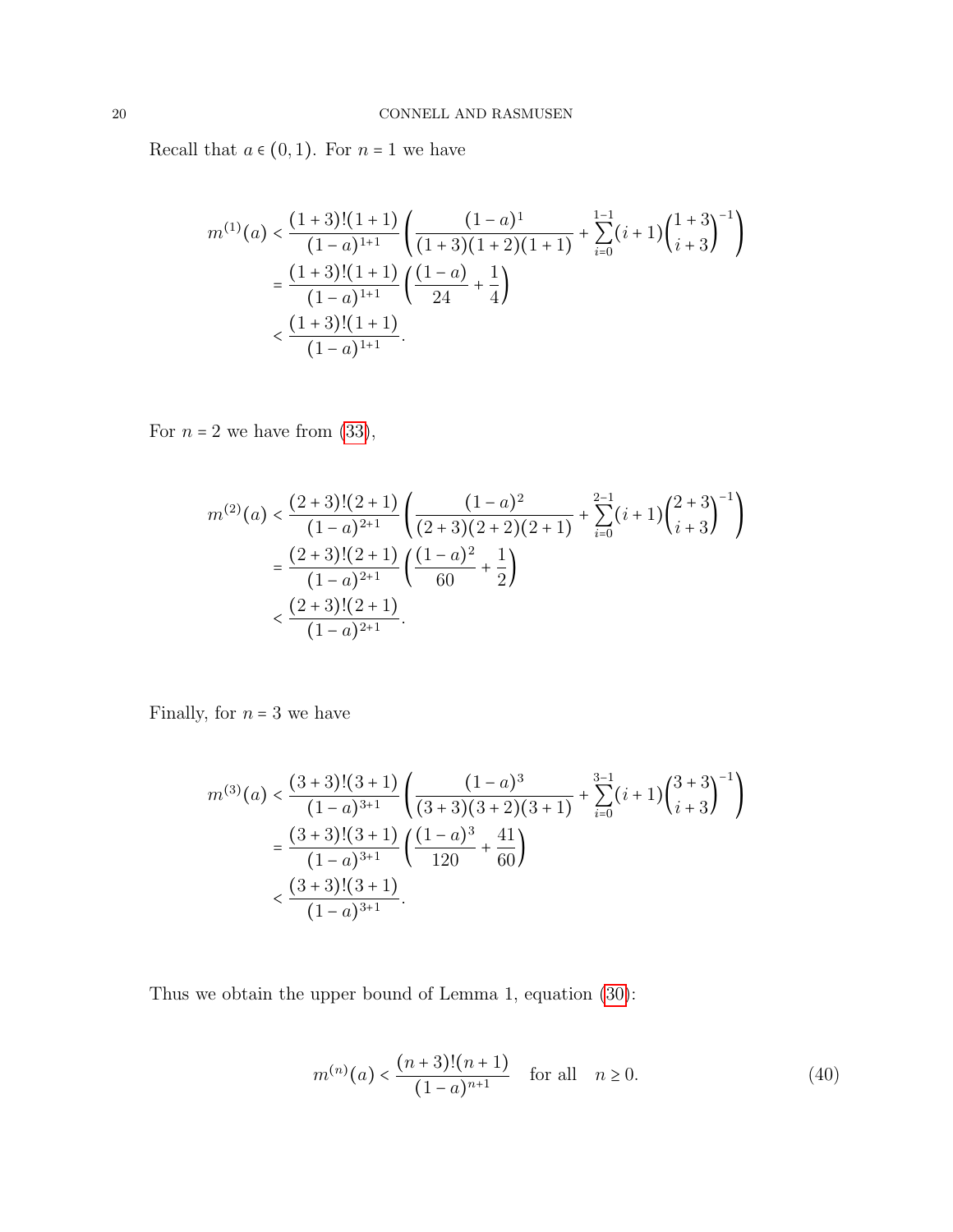Recall that  $a \in (0,1)$ . For  $n = 1$  we have

$$
m^{(1)}(a) < \frac{(1+3)!(1+1)}{(1-a)^{1+1}} \left( \frac{(1-a)^1}{(1+3)(1+2)(1+1)} + \sum_{i=0}^{1-1} (i+1) \binom{1+3}{i+3}^{-1} \right)
$$
\n
$$
= \frac{(1+3)!(1+1)}{(1-a)^{1+1}} \left( \frac{(1-a)}{24} + \frac{1}{4} \right)
$$
\n
$$
< \frac{(1+3)!(1+1)}{(1-a)^{1+1}}.
$$

For  $n = 2$  we have from [\(33\)](#page-18-6),

$$
m^{(2)}(a) < \frac{(2+3)!(2+1)}{(1-a)^{2+1}} \left( \frac{(1-a)^2}{(2+3)(2+2)(2+1)} + \sum_{i=0}^{2-1} (i+1) \binom{2+3}{i+3}^{-1} \right)
$$
  
= 
$$
\frac{(2+3)!(2+1)}{(1-a)^{2+1}} \left( \frac{(1-a)^2}{60} + \frac{1}{2} \right)
$$
  

$$
< \frac{(2+3)!(2+1)}{(1-a)^{2+1}}.
$$

Finally, for  $n = 3$  we have

$$
m^{(3)}(a) < \frac{(3+3)!(3+1)}{(1-a)^{3+1}} \left( \frac{(1-a)^3}{(3+3)(3+2)(3+1)} + \sum_{i=0}^{3-1} (i+1) \binom{3+3}{i+3}^{-1} \right)
$$
  
= 
$$
\frac{(3+3)!(3+1)}{(1-a)^{3+1}} \left( \frac{(1-a)^3}{120} + \frac{41}{60} \right)
$$
  

$$
< \frac{(3+3)!(3+1)}{(1-a)^{3+1}}.
$$

Thus we obtain the upper bound of Lemma 1, equation [\(30\)](#page-16-2):

$$
m^{(n)}(a) < \frac{(n+3)!(n+1)}{(1-a)^{n+1}} \quad \text{for all} \quad n \ge 0. \tag{40}
$$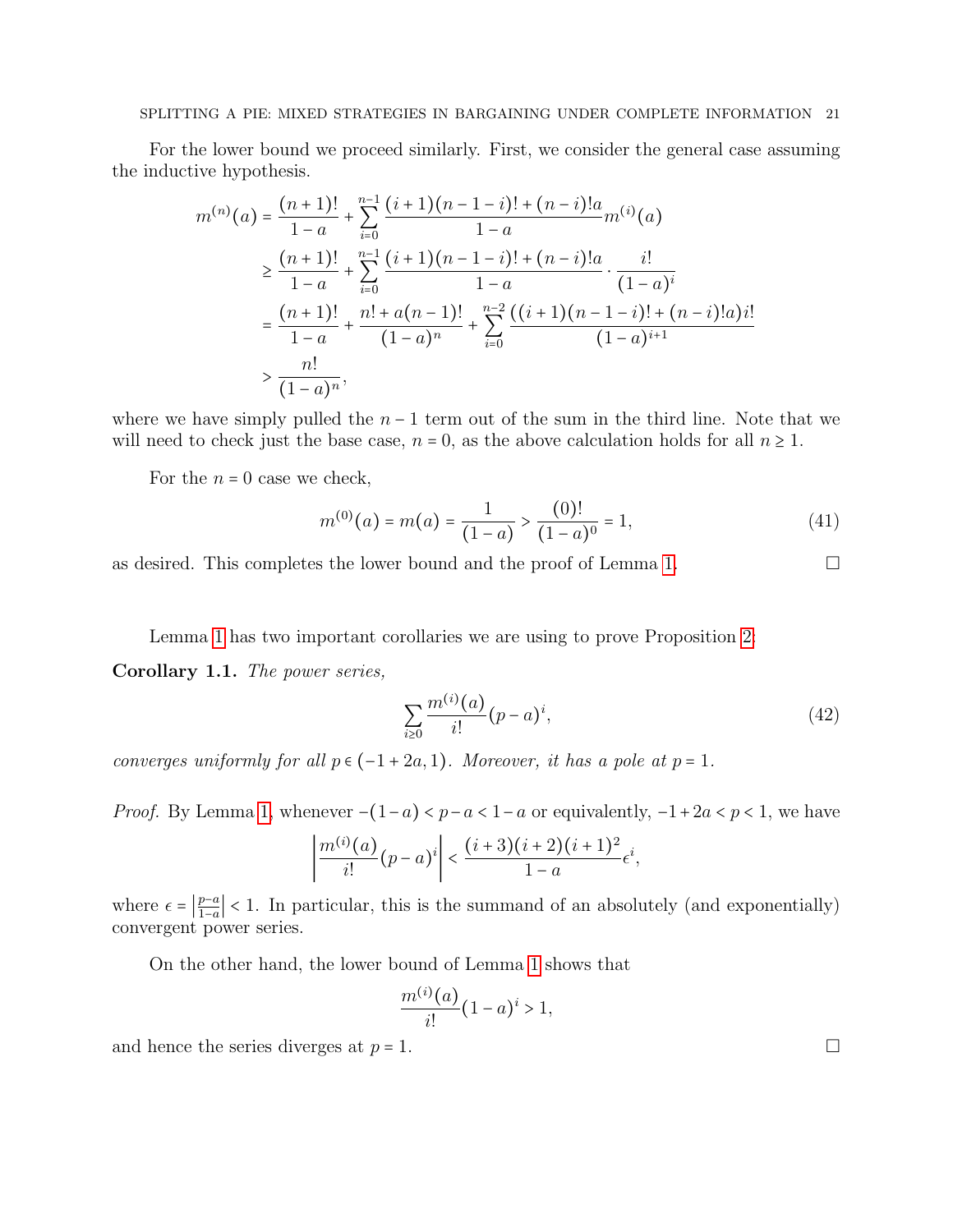## SPLITTING A PIE: MIXED STRATEGIES IN BARGAINING UNDER COMPLETE INFORMATION 21

For the lower bound we proceed similarly. First, we consider the general case assuming the inductive hypothesis.

$$
m^{(n)}(a) = \frac{(n+1)!}{1-a} + \sum_{i=0}^{n-1} \frac{(i+1)(n-1-i)! + (n-i)!a}{1-a} m^{(i)}(a)
$$
  
\n
$$
\geq \frac{(n+1)!}{1-a} + \sum_{i=0}^{n-1} \frac{(i+1)(n-1-i)! + (n-i)!a}{1-a} \cdot \frac{i!}{(1-a)^i}
$$
  
\n
$$
= \frac{(n+1)!}{1-a} + \frac{n! + a(n-1)!}{(1-a)^n} + \sum_{i=0}^{n-2} \frac{((i+1)(n-1-i)! + (n-i)!a)i!}{(1-a)^{i+1}}
$$
  
\n
$$
> \frac{n!}{(1-a)^n},
$$

where we have simply pulled the  $n-1$  term out of the sum in the third line. Note that we will need to check just the base case,  $n = 0$ , as the above calculation holds for all  $n \ge 1$ .

For the  $n = 0$  case we check,

$$
m^{(0)}(a) = m(a) = \frac{1}{(1-a)} > \frac{(0)!}{(1-a)^0} = 1,
$$
\n(41)

as desired. This completes the lower bound and the proof of Lemma [1.](#page-16-0)  $\Box$ 

Lemma [1](#page-16-0) has two important corollaries we are using to prove Proposition [2:](#page-12-0)

<span id="page-20-0"></span>Corollary 1.1. The power series,

$$
\sum_{i\geq 0} \frac{m^{(i)}(a)}{i!} (p-a)^i,
$$
\n(42)

converges uniformly for all  $p \in (-1+2a, 1)$ . Moreover, it has a pole at  $p = 1$ .

*Proof.* By Lemma [1,](#page-16-0) whenever  $-(1-a) < p-a < 1-a$  or equivalently,  $-1+2a < p < 1$ , we have

$$
\left|\frac{m^{(i)}(a)}{i!}(p-a)^i\right| < \frac{(i+3)(i+2)(i+1)^2}{1-a}\epsilon^i,
$$

where  $\epsilon = \left| \frac{p-a}{1-a} \right|$  $\frac{p-a}{1-a}$  < 1. In particular, this is the summand of an absolutely (and exponentially) convergent power series.

On the other hand, the lower bound of Lemma [1](#page-16-0) shows that

$$
\frac{m^{(i)}(a)}{i!}(1-a)^i > 1,
$$

and hence the series diverges at  $p = 1$ .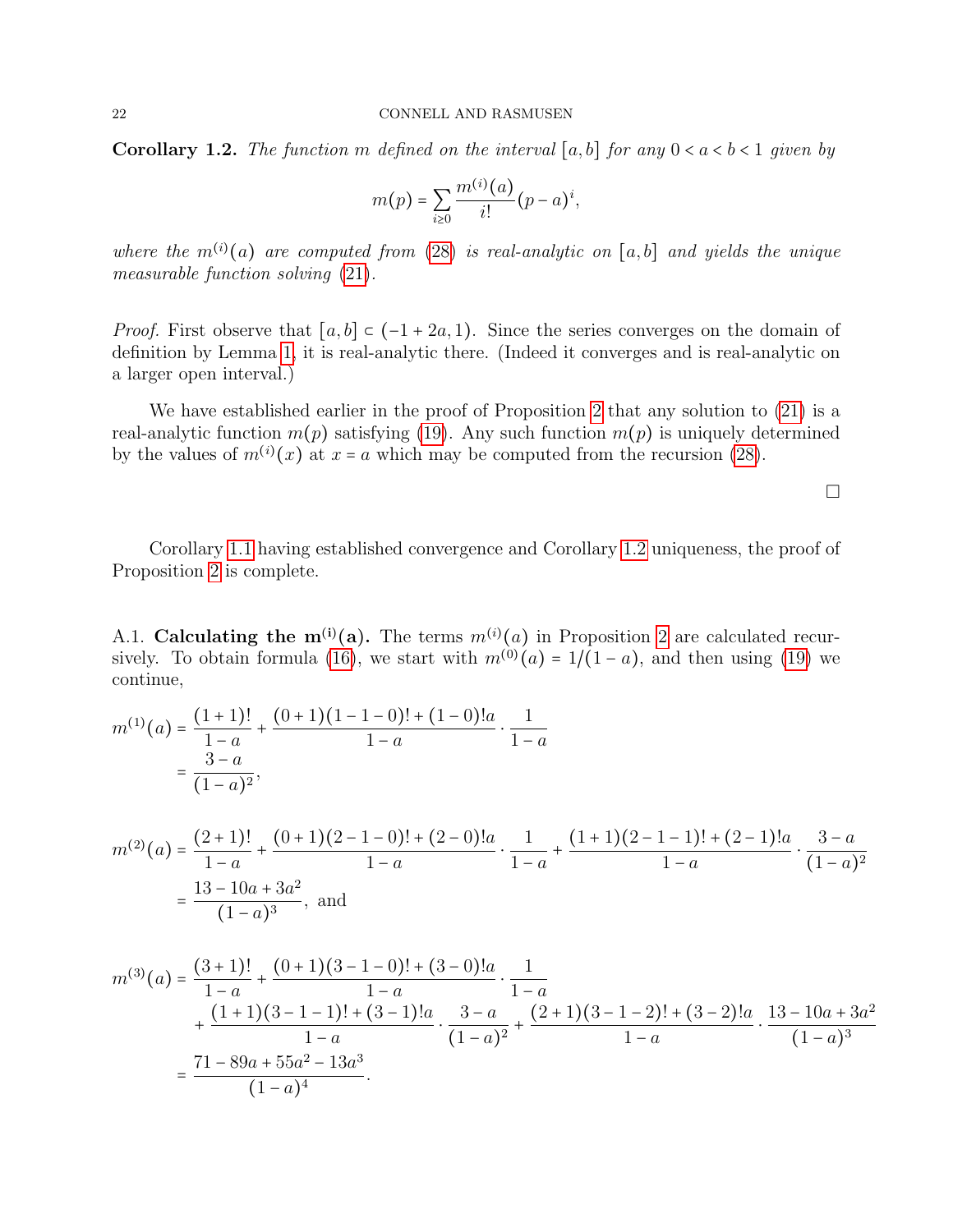<span id="page-21-0"></span>**Corollary 1.2.** The function m defined on the interval [a, b] for any  $0 < a < b < 1$  given by

$$
m(p) = \sum_{i \geq 0} \frac{m^{(i)}(a)}{i!} (p-a)^i,
$$

where the  $m^{(i)}(a)$  are computed from [\(28\)](#page-15-3) is real-analytic on [a,b] and yields the unique measurable function solving [\(21\)](#page-14-1).

*Proof.* First observe that  $[a, b] \subset (-1 + 2a, 1)$ . Since the series converges on the domain of definition by Lemma [1,](#page-16-0) it is real-analytic there. (Indeed it converges and is real-analytic on a larger open interval.)

We have established earlier in the proof of Proposition [2](#page-12-0) that any solution to  $(21)$  is a real-analytic function  $m(p)$  satisfying [\(19\)](#page-14-3). Any such function  $m(p)$  is uniquely determined by the values of  $m^{(i)}(x)$  at  $x = a$  which may be computed from the recursion [\(28\)](#page-15-3).

 $\Box$ 

Corollary [1.1](#page-20-0) having established convergence and Corollary [1.2](#page-21-0) uniqueness, the proof of Proposition [2](#page-12-0) is complete.

A.1. Calculating the  $m^{(i)}(a)$ . The terms  $m^{(i)}(a)$  in Proposition [2](#page-12-0) are calculated recur-sively. To obtain formula [\(16\)](#page-12-1), we start with  $m^{(0)}(a) = 1/(1-a)$ , and then using [\(19\)](#page-14-3) we continue,

$$
m^{(1)}(a) = \frac{(1+1)!}{1-a} + \frac{(0+1)(1-1-0)! + (1-0)!a}{1-a} \cdot \frac{1}{1-a}
$$

$$
= \frac{3-a}{(1-a)^2},
$$

$$
m^{(2)}(a) = \frac{(2+1)!}{1-a} + \frac{(0+1)(2-1-0)! + (2-0)!a}{1-a} \cdot \frac{1}{1-a} + \frac{(1+1)(2-1-1)! + (2-1)!a}{1-a} \cdot \frac{3-a}{(1-a)^2}
$$

$$
= \frac{13 - 10a + 3a^2}{(1-a)^3}, \text{ and}
$$

$$
m^{(3)}(a) = \frac{(3+1)!}{1-a} + \frac{(0+1)(3-1-0)! + (3-0)!a}{1-a} \cdot \frac{1}{1-a} + \frac{(1+1)(3-1-1)! + (3-1)!a}{1-a} \cdot \frac{3-a}{(1-a)^2} + \frac{(2+1)(3-1-2)! + (3-2)!a}{1-a} \cdot \frac{13-10a+3a^2}{(1-a)^3}
$$

$$
= \frac{71-89a+55a^2-13a^3}{(1-a)^4}.
$$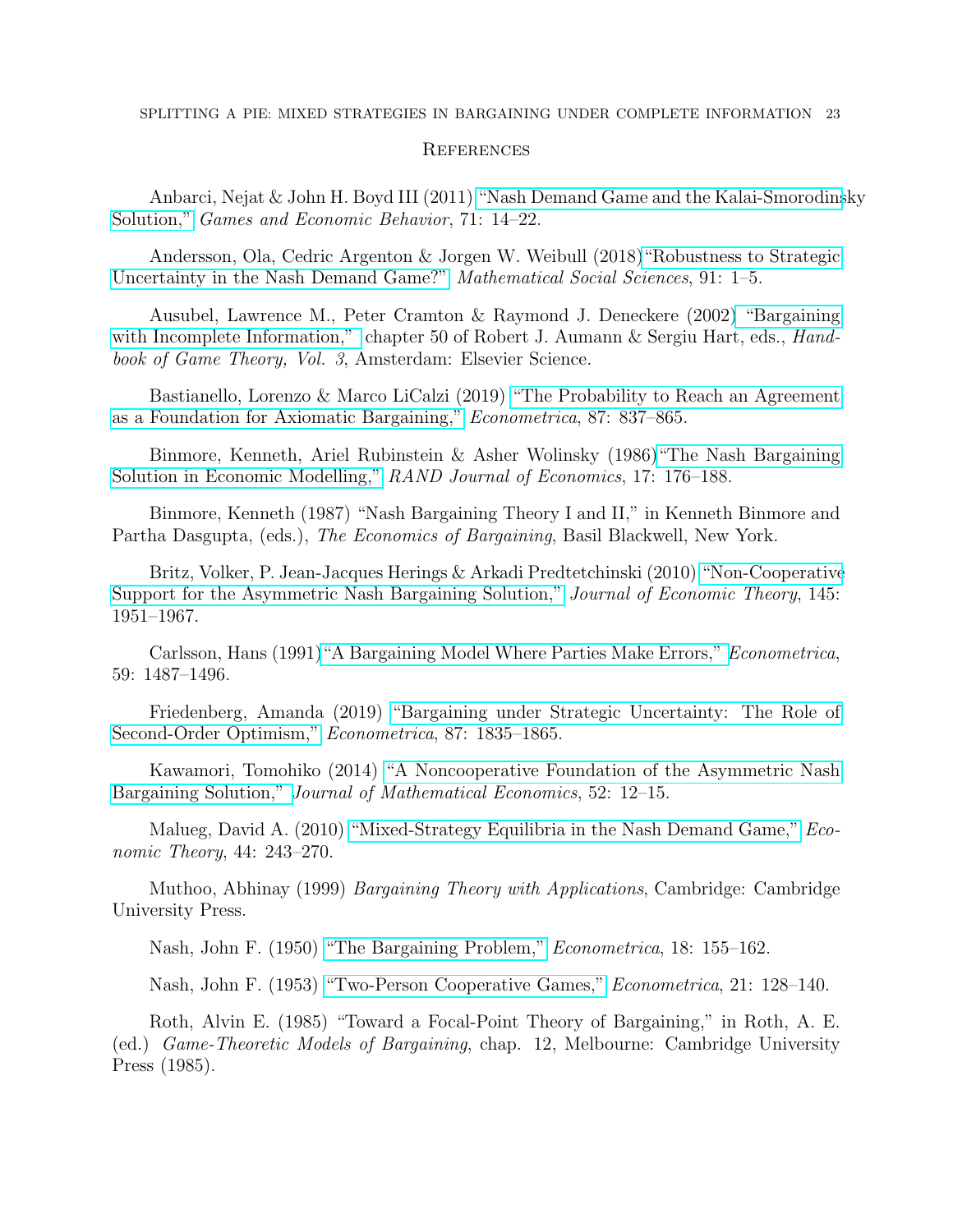## **REFERENCES**

Anbarci, Nejat & John H. Boyd III (2011) ["Nash Demand Game and the Kalai-Smorodins]( https://doi.org/10.1016/j.geb.2010.07.009)ky [Solution,"]( https://doi.org/10.1016/j.geb.2010.07.009) Games and Economic Behavior, 71: 14–22.

Andersson, Ola, Cedric Argenton & Jorgen W. Weibull (2018[\)"Robustness to Strategic](https://doi.org/10.1016/j.mathsocsci.2017.10.007 ) [Uncertainty in the Nash Demand Game?"](https://doi.org/10.1016/j.mathsocsci.2017.10.007 ) Mathematical Social Sciences, 91: 1–5.

Ausubel, Lawrence M., Peter Cramton & Raymond J. Deneckere (2002[\) "Bargaining](https://d1wqtxts1xzle7.cloudfront.net/44344673/ausubel-cramton-deneckere-bargaining-with-incomplete-information.pdf?1459660015=&response-content-disposition=inline%3B+filename%3DBargaining_with_incomplete_information.pdf&Expires=1601864066&Signature=WCv3wY3xqmVUJeufv2CBS6-vmG3WccRgtxI0U0L22lQ~HnLHwbdHWIFyPeDBAZYJ9iXBhqBdfoTAkf5kEzcAjFycV5SZBRWYAA03-dlkmRC3mwGK4oQCO9J~mdezblpyLp4Mc49l3yyg66q1CLy8CUWWmpIK2pu5L1FgUJ1UAReGWVT4An37FhOxLgY5T4dtQH5eSMnOp1a4Mfaw~w7DsgaHjUK-BysVQkHb9E8S5BeOP-Urt55dUQYfr1ivxJlufhTPD3tG5QTDv220ayvXgPzcEQzzUntiCHnWim3LwsATlR3~rixY5LuyzuTanTm8GRLDFnFriY06TYh-rlETcQ__&Key-Pair-Id=APKAJLOHF5GGSLRBV4ZA ) [with Incomplete Information,"](https://d1wqtxts1xzle7.cloudfront.net/44344673/ausubel-cramton-deneckere-bargaining-with-incomplete-information.pdf?1459660015=&response-content-disposition=inline%3B+filename%3DBargaining_with_incomplete_information.pdf&Expires=1601864066&Signature=WCv3wY3xqmVUJeufv2CBS6-vmG3WccRgtxI0U0L22lQ~HnLHwbdHWIFyPeDBAZYJ9iXBhqBdfoTAkf5kEzcAjFycV5SZBRWYAA03-dlkmRC3mwGK4oQCO9J~mdezblpyLp4Mc49l3yyg66q1CLy8CUWWmpIK2pu5L1FgUJ1UAReGWVT4An37FhOxLgY5T4dtQH5eSMnOp1a4Mfaw~w7DsgaHjUK-BysVQkHb9E8S5BeOP-Urt55dUQYfr1ivxJlufhTPD3tG5QTDv220ayvXgPzcEQzzUntiCHnWim3LwsATlR3~rixY5LuyzuTanTm8GRLDFnFriY06TYh-rlETcQ__&Key-Pair-Id=APKAJLOHF5GGSLRBV4ZA ) chapter 50 of Robert J. Aumann & Sergiu Hart, eds., *Hand*book of Game Theory, Vol. 3, Amsterdam: Elsevier Science.

Bastianello, Lorenzo & Marco LiCalzi (2019) ["The Probability to Reach an Agreement]( https://doi-org.proxyiub.uits.iu.edu/10.3982/ECTA13673 ) [as a Foundation for Axiomatic Bargaining,"]( https://doi-org.proxyiub.uits.iu.edu/10.3982/ECTA13673 ) Econometrica, 87: 837–865.

Binmore, Kenneth, Ariel Rubinstein & Asher Wolinsky (1986[\)"The Nash Bargaining]( https://www.researchgate.net/profile/Ariel_Rubinstein2/publication/24048549_The_Nash_Bargaining_Solution_in_Economic_Modeling/links/00b7d530b3f0a2fe94000000/The-Nash-Bargaining-Solution-in-Economic-Modeling.pdf) [Solution in Economic Modelling,"]( https://www.researchgate.net/profile/Ariel_Rubinstein2/publication/24048549_The_Nash_Bargaining_Solution_in_Economic_Modeling/links/00b7d530b3f0a2fe94000000/The-Nash-Bargaining-Solution-in-Economic-Modeling.pdf) RAND Journal of Economics, 17: 176–188.

Binmore, Kenneth (1987) "Nash Bargaining Theory I and II," in Kenneth Binmore and Partha Dasgupta, (eds.), The Economics of Bargaining, Basil Blackwell, New York.

Britz, Volker, P. Jean-Jacques Herings & Arkadi Predtetchinski (2010) ["Non-Cooperative]( https://dx.doi.org/10.2139/ssrn.1259002) [Support for the Asymmetric Nash Bargaining Solution,"]( https://dx.doi.org/10.2139/ssrn.1259002) *Journal of Economic Theory*, 145: 1951–1967.

Carlsson, Hans (1991[\)"A Bargaining Model Where Parties Make Errors,"]( https://www.jstor.org/stable/2938376 ) Econometrica, 59: 1487–1496.

Friedenberg, Amanda (2019) ["Bargaining under Strategic Uncertainty: The Role of](http://u.arizona.edu/~afriedenberg/bargaining.pdf ) [Second-Order Optimism,"](http://u.arizona.edu/~afriedenberg/bargaining.pdf ) Econometrica, 87: 1835–1865.

Kawamori, Tomohiko (2014) ["A Noncooperative Foundation of the Asymmetric Nash]( https://doi.org/10.1016/j.jmateco.2014.03.004) [Bargaining Solution,"]( https://doi.org/10.1016/j.jmateco.2014.03.004) Journal of Mathematical Economics, 52: 12–15.

Malueg, David A. (2010) ["Mixed-Strategy Equilibria in the Nash Demand Game,"](https://www.jstor.org/stable/40864780) Economic Theory, 44: 243–270.

Muthoo, Abhinay (1999) Bargaining Theory with Applications, Cambridge: Cambridge University Press.

Nash, John F. (1950) ["The Bargaining Problem,"]( https://www.jstor.org/stable/1907266 ) Econometrica, 18: 155–162.

Nash, John F. (1953) ["Two-Person Cooperative Games,"]( https://www.jstor.org/stable/1906951) Econometrica, 21: 128–140.

Roth, Alvin E. (1985) "Toward a Focal-Point Theory of Bargaining," in Roth, A. E. (ed.) Game-Theoretic Models of Bargaining, chap. 12, Melbourne: Cambridge University Press (1985).